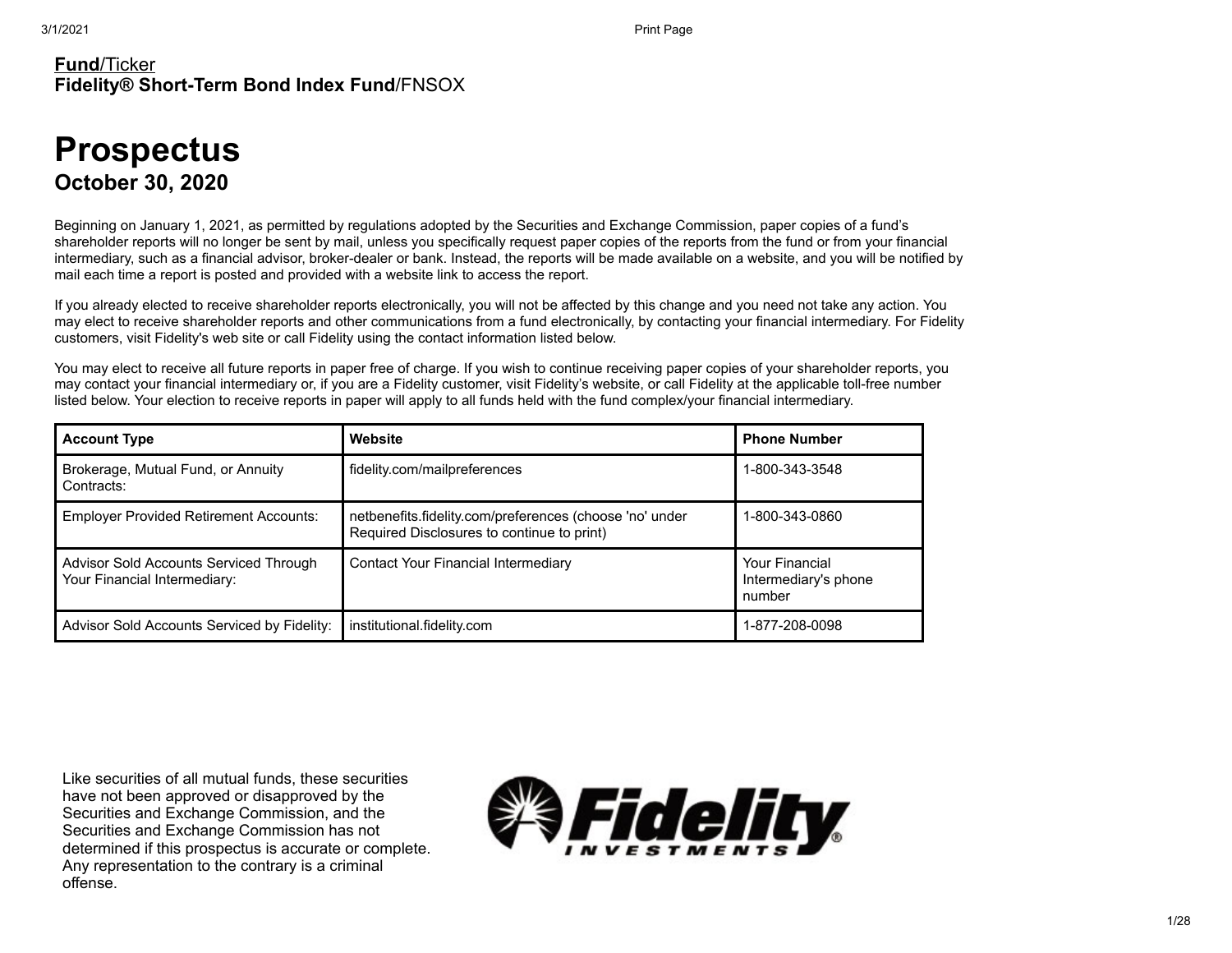#### **Fund**/Ticker **Fidelity® Short-Term Bond Index Fund**/FNSOX

# **Prospectus October 30, 2020**

Beginning on January 1, 2021, as permitted by regulations adopted by the Securities and Exchange Commission, paper copies of a fund's shareholder reports will no longer be sent by mail, unless you specifically request paper copies of the reports from the fund or from your financial intermediary, such as a financial advisor, broker-dealer or bank. Instead, the reports will be made available on a website, and you will be notified by mail each time a report is posted and provided with a website link to access the report.

If you already elected to receive shareholder reports electronically, you will not be affected by this change and you need not take any action. You may elect to receive shareholder reports and other communications from a fund electronically, by contacting your financial intermediary. For Fidelity customers, visit Fidelity's web site or call Fidelity using the contact information listed below.

You may elect to receive all future reports in paper free of charge. If you wish to continue receiving paper copies of your shareholder reports, you may contact your financial intermediary or, if you are a Fidelity customer, visit Fidelity's website, or call Fidelity at the applicable toll-free number listed below. Your election to receive reports in paper will apply to all funds held with the fund complex/your financial intermediary.

| <b>Account Type</b>                                                    | Website                                                                                               | <b>Phone Number</b>                                     |
|------------------------------------------------------------------------|-------------------------------------------------------------------------------------------------------|---------------------------------------------------------|
| Brokerage, Mutual Fund, or Annuity<br>Contracts:                       | fidelity.com/mailpreferences                                                                          | 1-800-343-3548                                          |
| <b>Employer Provided Retirement Accounts:</b>                          | netbenefits.fidelity.com/preferences (choose 'no' under<br>Required Disclosures to continue to print) | 1-800-343-0860                                          |
| Advisor Sold Accounts Serviced Through<br>Your Financial Intermediary: | <b>Contact Your Financial Intermediary</b>                                                            | <b>Your Financial</b><br>Intermediary's phone<br>number |
| Advisor Sold Accounts Serviced by Fidelity:                            | institutional.fidelity.com                                                                            | 1-877-208-0098                                          |

Like securities of all mutual funds, these securities have not been approved or disapproved by the Securities and Exchange Commission, and the Securities and Exchange Commission has not determined if this prospectus is accurate or complete. Any representation to the contrary is a criminal offense.

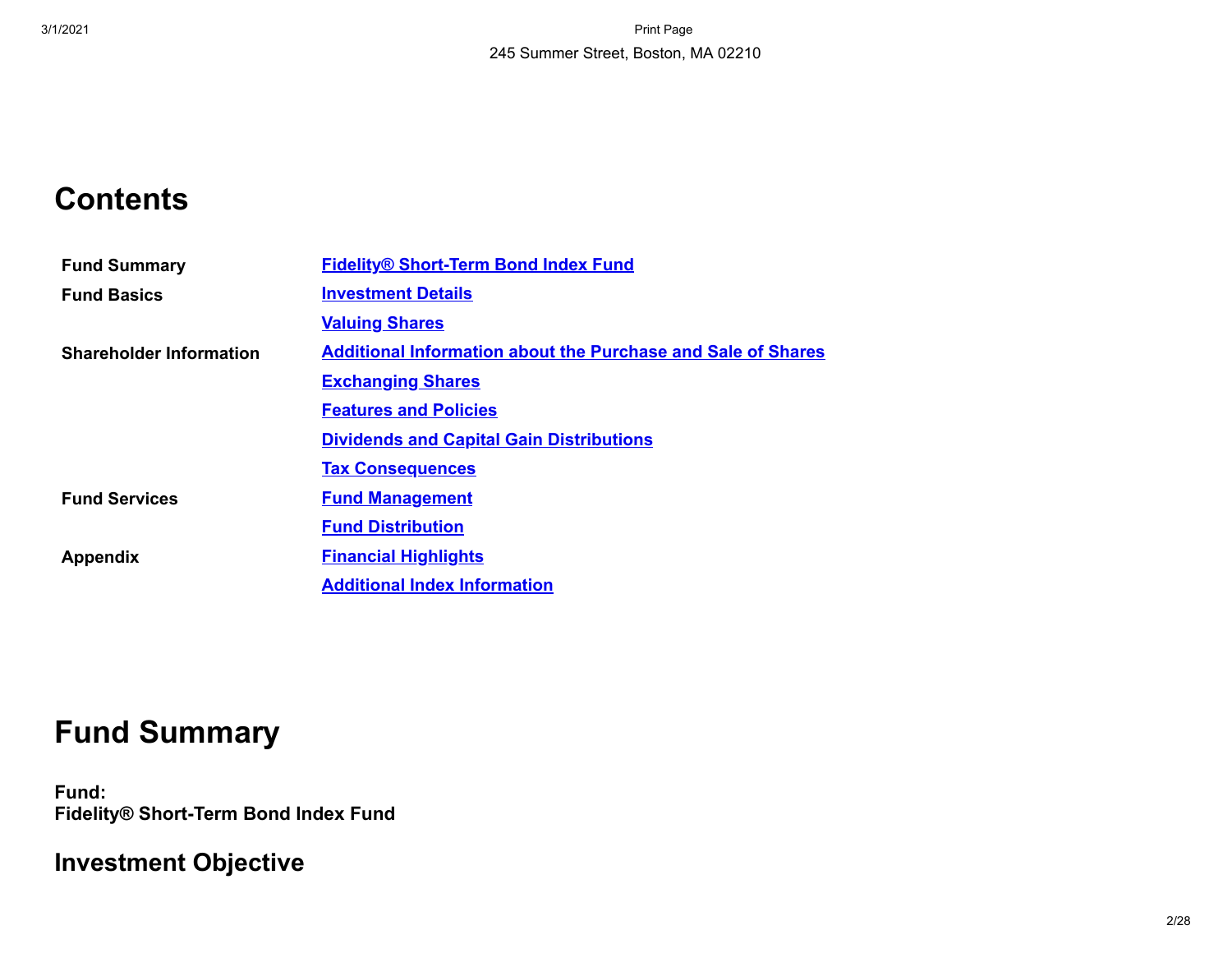# **Contents**

| <b>Fund Summary</b>            | <b>Fidelity® Short-Term Bond Index Fund</b>                         |
|--------------------------------|---------------------------------------------------------------------|
| <b>Fund Basics</b>             | <b>Investment Details</b>                                           |
|                                | <b>Valuing Shares</b>                                               |
| <b>Shareholder Information</b> | <b>Additional Information about the Purchase and Sale of Shares</b> |
|                                | <b>Exchanging Shares</b>                                            |
|                                | <b>Features and Policies</b>                                        |
|                                | <b>Dividends and Capital Gain Distributions</b>                     |
|                                | <b>Tax Consequences</b>                                             |
| <b>Fund Services</b>           | <b>Fund Management</b>                                              |
|                                | <b>Fund Distribution</b>                                            |
| <b>Appendix</b>                | <b>Financial Highlights</b>                                         |
|                                | <b>Additional Index Information</b>                                 |

# **Fund Summary**

<span id="page-1-0"></span>**Fund: Fidelity® Short-Term Bond Index Fund**

# **Investment Objective**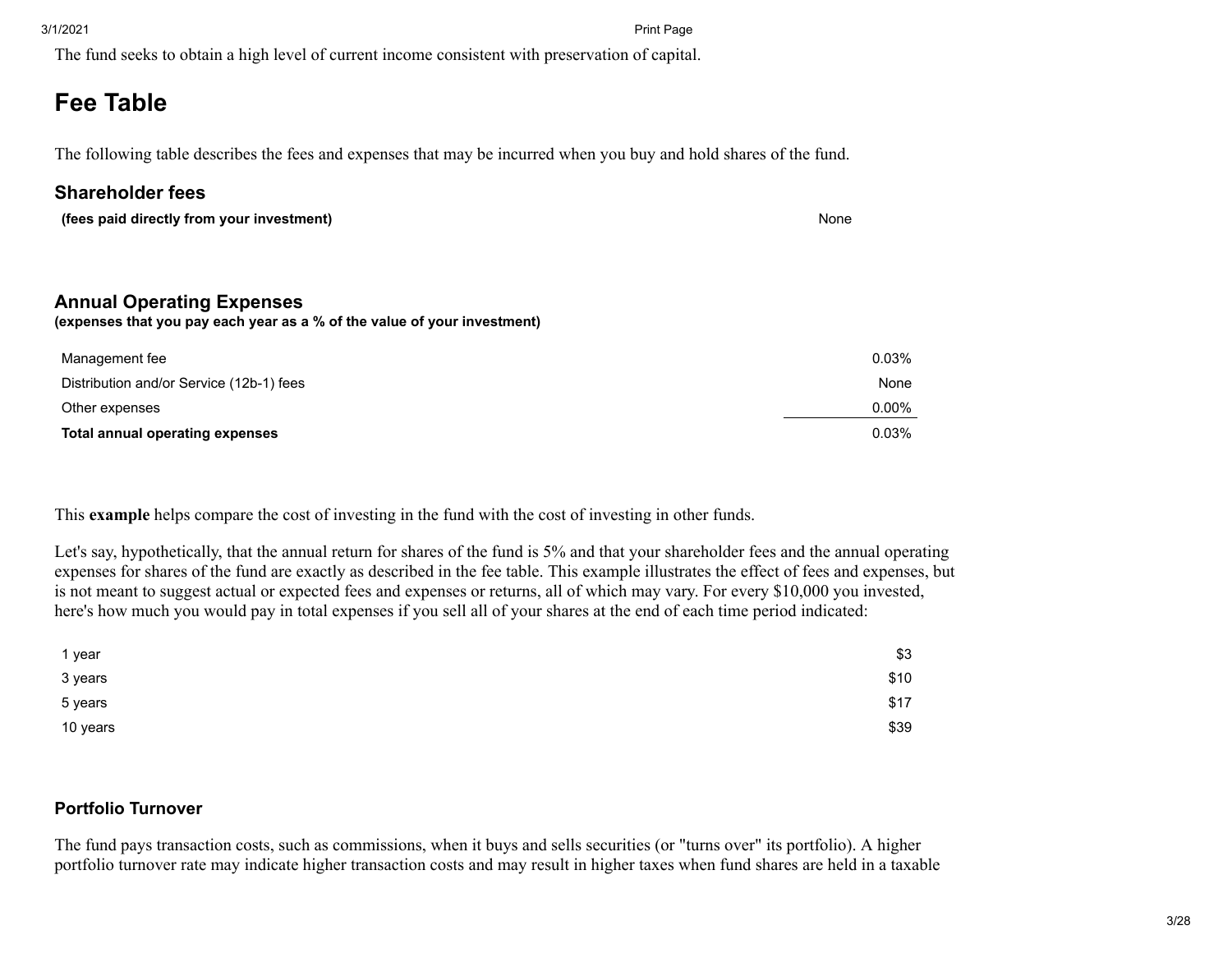The fund seeks to obtain a high level of current income consistent with preservation of capital.

# **Fee Table**

The following table describes the fees and expenses that may be incurred when you buy and hold shares of the fund.

### **Shareholder fees**

| (fees paid directly from your investment)                                | None |
|--------------------------------------------------------------------------|------|
|                                                                          |      |
|                                                                          |      |
|                                                                          |      |
| <b>Annual Operating Expenses</b>                                         |      |
| (expenses that you pay each year as a % of the value of your investment) |      |

| Management fee                           | 0.03%    |
|------------------------------------------|----------|
| Distribution and/or Service (12b-1) fees | None     |
| Other expenses                           | $0.00\%$ |
| <b>Total annual operating expenses</b>   | 0.03%    |

This **example** helps compare the cost of investing in the fund with the cost of investing in other funds.

Let's say, hypothetically, that the annual return for shares of the fund is 5% and that your shareholder fees and the annual operating expenses for shares of the fund are exactly as described in the fee table. This example illustrates the effect of fees and expenses, but is not meant to suggest actual or expected fees and expenses or returns, all of which may vary. For every \$10,000 you invested, here's how much you would pay in total expenses if you sell all of your shares at the end of each time period indicated:

| 1 year   | \$3  |
|----------|------|
| 3 years  | \$10 |
| 5 years  | \$17 |
| 10 years | \$39 |

### **Portfolio Turnover**

The fund pays transaction costs, such as commissions, when it buys and sells securities (or "turns over" its portfolio). A higher portfolio turnover rate may indicate higher transaction costs and may result in higher taxes when fund shares are held in a taxable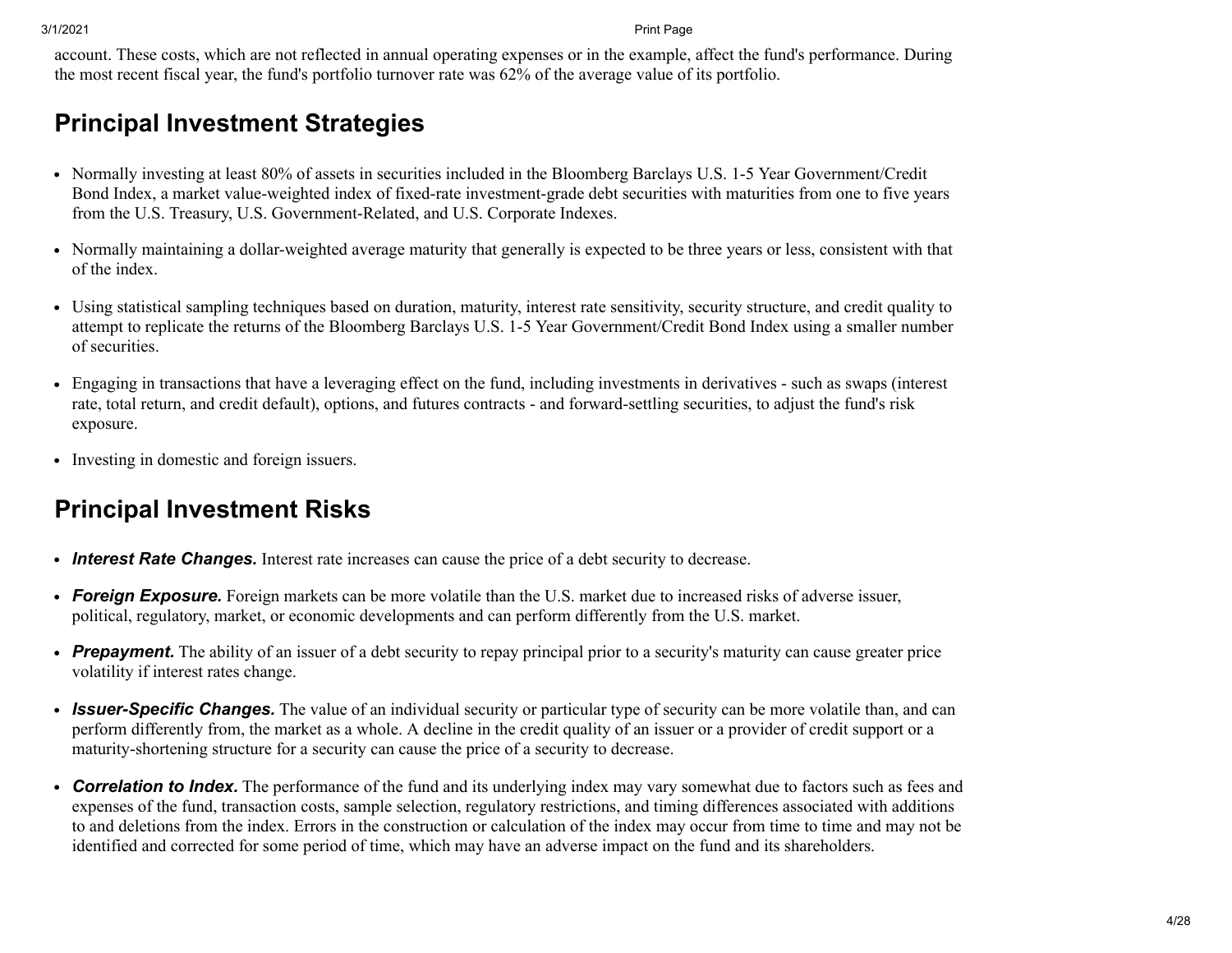account. These costs, which are not reflected in annual operating expenses or in the example, affect the fund's performance. During the most recent fiscal year, the fund's portfolio turnover rate was 62% of the average value of its portfolio.

## **Principal Investment Strategies**

- Normally investing at least 80% of assets in securities included in the Bloomberg Barclays U.S. 1-5 Year Government/Credit Bond Index, a market value-weighted index of fixed-rate investment-grade debt securities with maturities from one to five years from the U.S. Treasury, U.S. Government-Related, and U.S. Corporate Indexes.
- Normally maintaining a dollar-weighted average maturity that generally is expected to be three years or less, consistent with that of the index.
- Using statistical sampling techniques based on duration, maturity, interest rate sensitivity, security structure, and credit quality to attempt to replicate the returns of the Bloomberg Barclays U.S. 1-5 Year Government/Credit Bond Index using a smaller number of securities.
- Engaging in transactions that have a leveraging effect on the fund, including investments in derivatives such as swaps (interest rate, total return, and credit default), options, and futures contracts - and forward-settling securities, to adjust the fund's risk exposure.
- Investing in domestic and foreign issuers.

# **Principal Investment Risks**

- *Interest Rate Changes.* Interest rate increases can cause the price of a debt security to decrease.
- *Foreign Exposure.* Foreign markets can be more volatile than the U.S. market due to increased risks of adverse issuer, political, regulatory, market, or economic developments and can perform differently from the U.S. market.
- *Prepayment.* The ability of an issuer of a debt security to repay principal prior to a security's maturity can cause greater price volatility if interest rates change.
- *Issuer-Specific Changes.* The value of an individual security or particular type of security can be more volatile than, and can perform differently from, the market as a whole. A decline in the credit quality of an issuer or a provider of credit support or a maturity-shortening structure for a security can cause the price of a security to decrease.
- *Correlation to Index.* The performance of the fund and its underlying index may vary somewhat due to factors such as fees and expenses of the fund, transaction costs, sample selection, regulatory restrictions, and timing differences associated with additions to and deletions from the index. Errors in the construction or calculation of the index may occur from time to time and may not be identified and corrected for some period of time, which may have an adverse impact on the fund and its shareholders.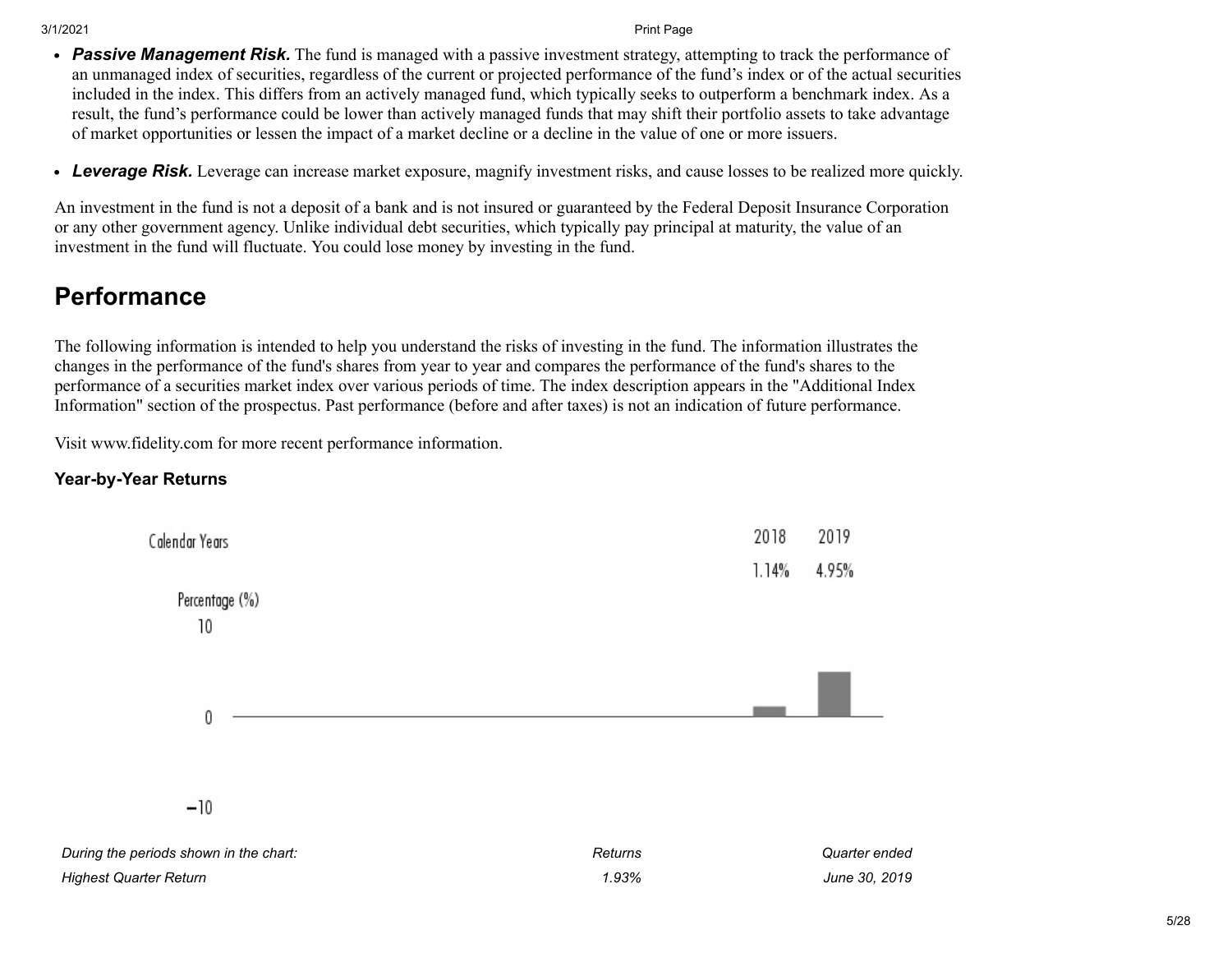- *Passive Management Risk.* The fund is managed with a passive investment strategy, attempting to track the performance of an unmanaged index of securities, regardless of the current or projected performance of the fund's index or of the actual securities included in the index. This differs from an actively managed fund, which typically seeks to outperform a benchmark index. As a result, the fund's performance could be lower than actively managed funds that may shift their portfolio assets to take advantage of market opportunities or lessen the impact of a market decline or a decline in the value of one or more issuers.
- *Leverage Risk.* Leverage can increase market exposure, magnify investment risks, and cause losses to be realized more quickly.

An investment in the fund is not a deposit of a bank and is not insured or guaranteed by the Federal Deposit Insurance Corporation or any other government agency. Unlike individual debt securities, which typically pay principal at maturity, the value of an investment in the fund will fluctuate. You could lose money by investing in the fund.

## **Performance**

The following information is intended to help you understand the risks of investing in the fund. The information illustrates the changes in the performance of the fund's shares from year to year and compares the performance of the fund's shares to the performance of a securities market index over various periods of time. The index description appears in the "Additional Index Information" section of the prospectus. Past performance (before and after taxes) is not an indication of future performance.

Visit www.fidelity.com for more recent performance information.

#### **Year-by-Year Returns**

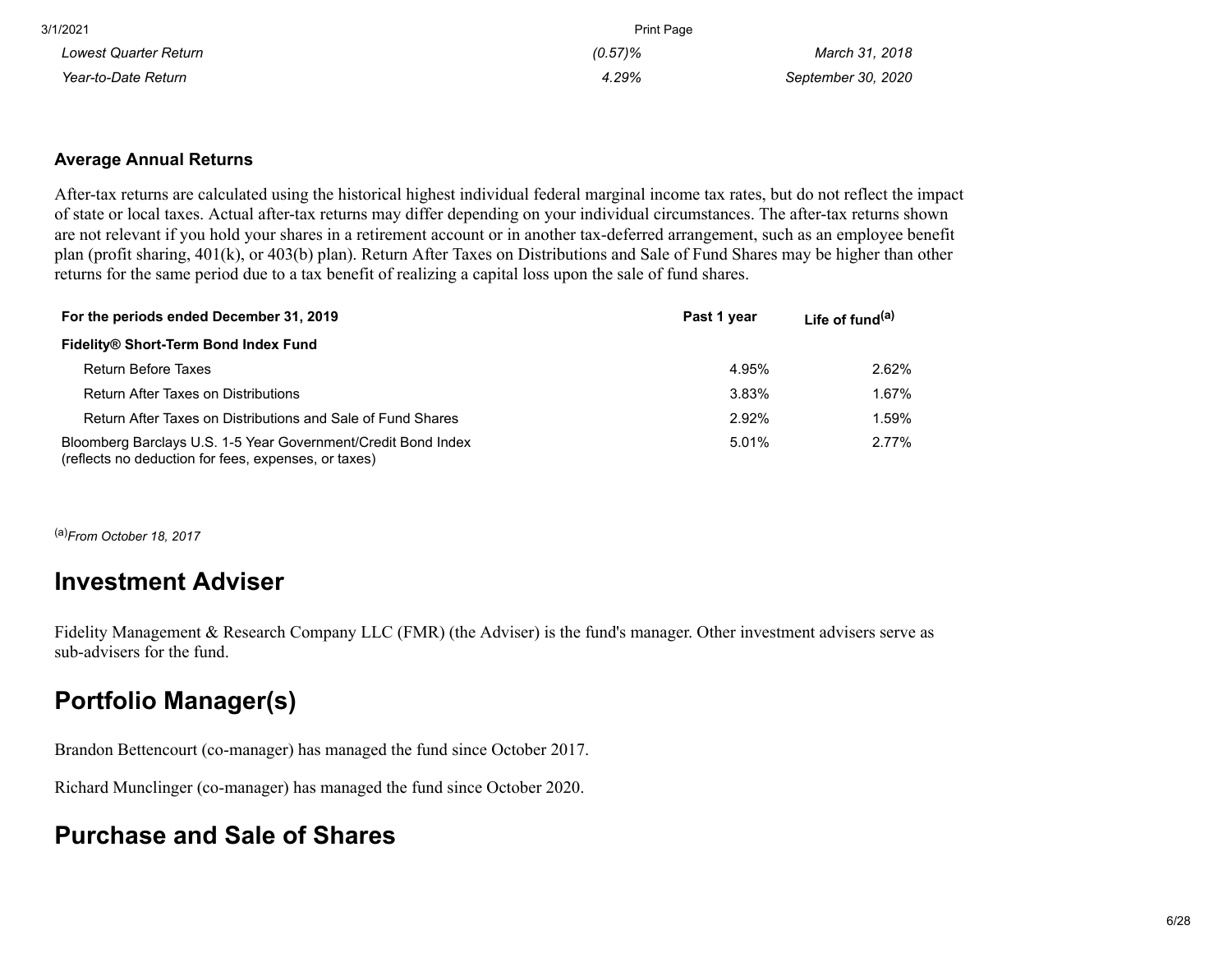| 3/1/2021              | <b>Print Page</b> |                    |
|-----------------------|-------------------|--------------------|
| Lowest Quarter Return | $(0.57)\%$        | March 31, 2018     |
| Year-to-Date Return   | 4.29%             | September 30, 2020 |

#### **Average Annual Returns**

After-tax returns are calculated using the historical highest individual federal marginal income tax rates, but do not reflect the impact of state or local taxes. Actual after-tax returns may differ depending on your individual circumstances. The after-tax returns shown are not relevant if you hold your shares in a retirement account or in another tax-deferred arrangement, such as an employee benefit plan (profit sharing, 401(k), or 403(b) plan). Return After Taxes on Distributions and Sale of Fund Shares may be higher than other returns for the same period due to a tax benefit of realizing a capital loss upon the sale of fund shares.

| For the periods ended December 31, 2019                                                                               | Past 1 year | Life of fund <sup>(a)</sup> |
|-----------------------------------------------------------------------------------------------------------------------|-------------|-----------------------------|
| Fidelity® Short-Term Bond Index Fund                                                                                  |             |                             |
| <b>Return Before Taxes</b>                                                                                            | 4.95%       | 2.62%                       |
| <b>Return After Taxes on Distributions</b>                                                                            | 3.83%       | 1.67%                       |
| Return After Taxes on Distributions and Sale of Fund Shares                                                           | 2.92%       | 1.59%                       |
| Bloomberg Barclays U.S. 1-5 Year Government/Credit Bond Index<br>(reflects no deduction for fees, expenses, or taxes) | 5.01%       | 2.77%                       |

(a)*From October 18, 2017*

### **Investment Adviser**

Fidelity Management & Research Company LLC (FMR) (the Adviser) is the fund's manager. Other investment advisers serve as sub-advisers for the fund.

### **Portfolio Manager(s)**

Brandon Bettencourt (co-manager) has managed the fund since October 2017.

Richard Munclinger (co-manager) has managed the fund since October 2020.

### **Purchase and Sale of Shares**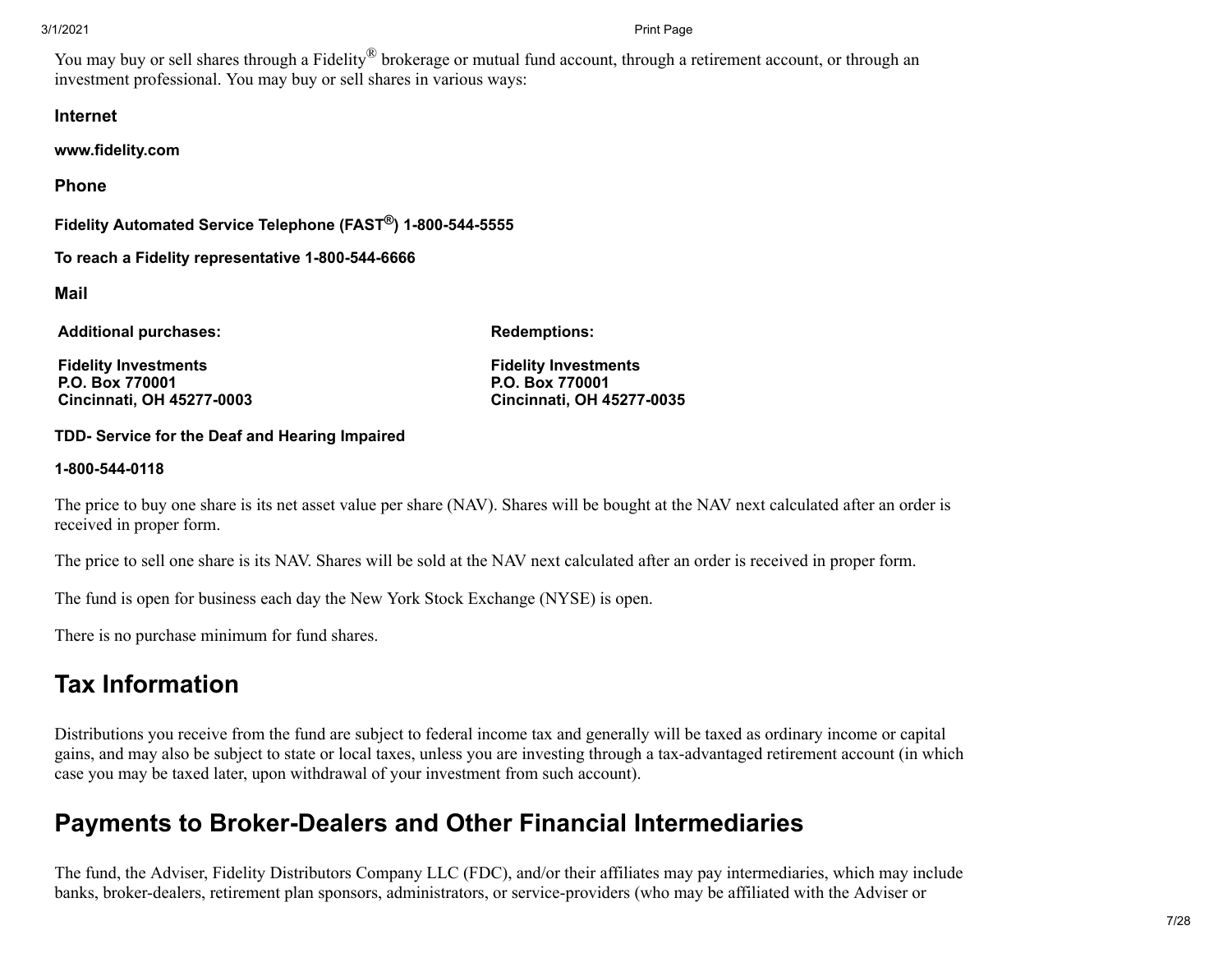You may buy or sell shares through a Fidelity<sup>®</sup> brokerage or mutual fund account, through a retirement account, or through an investment professional. You may buy or sell shares in various ways:

#### **Internet**

**www.fidelity.com**

**Phone**

**Fidelity Automated Service Telephone (FAST®) 1-800-544-5555**

**To reach a Fidelity representative 1-800-544-6666**

**Mail**

**Additional purchases:**

**Redemptions:**

**Fidelity Investments P.O. Box 770001 Cincinnati, OH 45277-0003** **Fidelity Investments P.O. Box 770001 Cincinnati, OH 45277-0035**

#### **TDD- Service for the Deaf and Hearing Impaired**

#### **1-800-544-0118**

The price to buy one share is its net asset value per share (NAV). Shares will be bought at the NAV next calculated after an order is received in proper form.

The price to sell one share is its NAV. Shares will be sold at the NAV next calculated after an order is received in proper form.

The fund is open for business each day the New York Stock Exchange (NYSE) is open.

There is no purchase minimum for fund shares.

### **Tax Information**

Distributions you receive from the fund are subject to federal income tax and generally will be taxed as ordinary income or capital gains, and may also be subject to state or local taxes, unless you are investing through a tax-advantaged retirement account (in which case you may be taxed later, upon withdrawal of your investment from such account).

### **Payments to Broker-Dealers and Other Financial Intermediaries**

The fund, the Adviser, Fidelity Distributors Company LLC (FDC), and/or their affiliates may pay intermediaries, which may include banks, broker-dealers, retirement plan sponsors, administrators, or service-providers (who may be affiliated with the Adviser or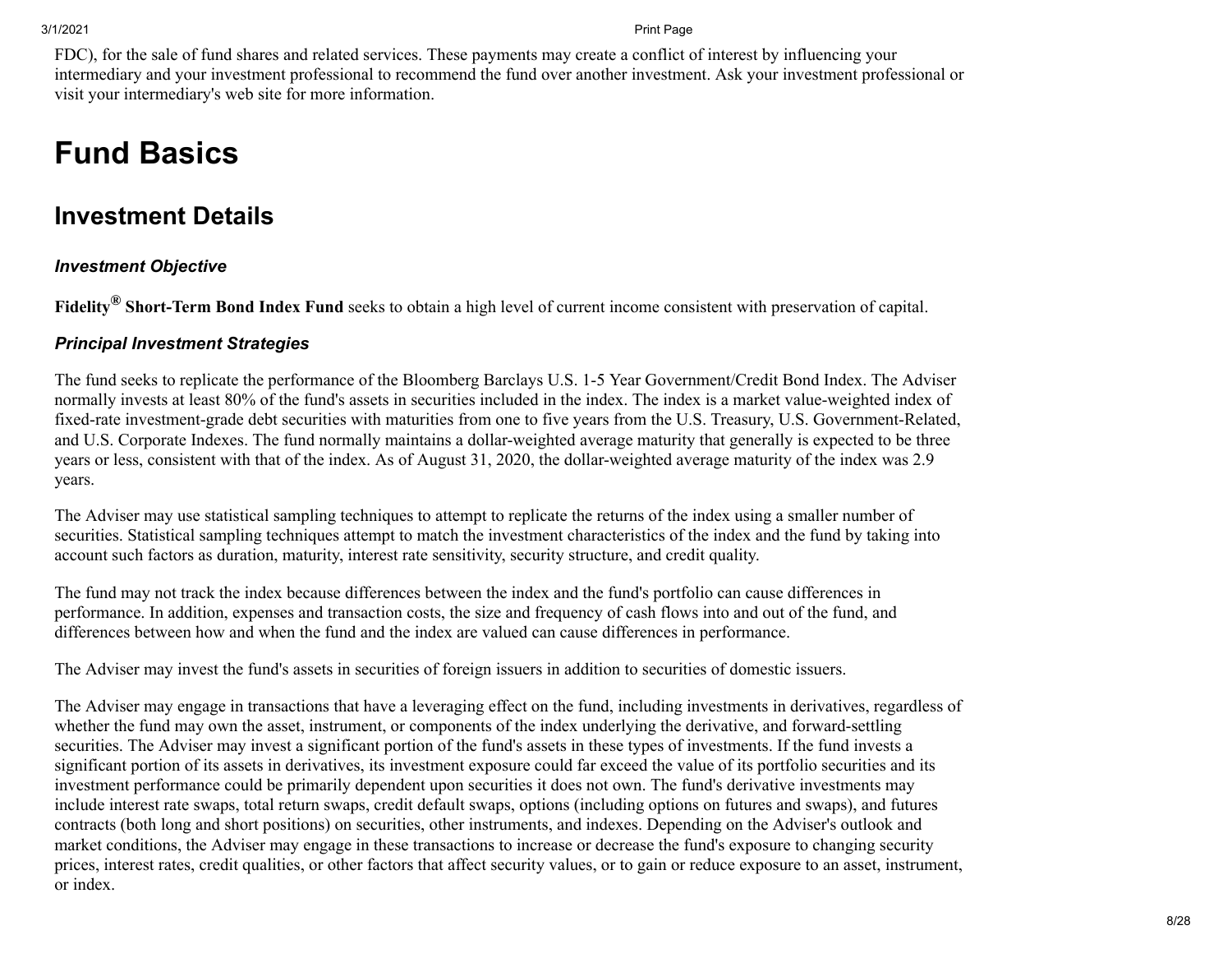FDC), for the sale of fund shares and related services. These payments may create a conflict of interest by influencing your intermediary and your investment professional to recommend the fund over another investment. Ask your investment professional or visit your intermediary's web site for more information.

# **Fund Basics**

### <span id="page-7-0"></span>**Investment Details**

#### *Investment Objective*

**Fidelity® Short-Term Bond Index Fund** seeks to obtain a high level of current income consistent with preservation of capital.

#### *Principal Investment Strategies*

The fund seeks to replicate the performance of the Bloomberg Barclays U.S. 1-5 Year Government/Credit Bond Index. The Adviser normally invests at least 80% of the fund's assets in securities included in the index. The index is a market value-weighted index of fixed-rate investment-grade debt securities with maturities from one to five years from the U.S. Treasury, U.S. Government-Related, and U.S. Corporate Indexes. The fund normally maintains a dollar-weighted average maturity that generally is expected to be three years or less, consistent with that of the index. As of August 31, 2020, the dollar-weighted average maturity of the index was 2.9 years.

The Adviser may use statistical sampling techniques to attempt to replicate the returns of the index using a smaller number of securities. Statistical sampling techniques attempt to match the investment characteristics of the index and the fund by taking into account such factors as duration, maturity, interest rate sensitivity, security structure, and credit quality.

The fund may not track the index because differences between the index and the fund's portfolio can cause differences in performance. In addition, expenses and transaction costs, the size and frequency of cash flows into and out of the fund, and differences between how and when the fund and the index are valued can cause differences in performance.

The Adviser may invest the fund's assets in securities of foreign issuers in addition to securities of domestic issuers.

The Adviser may engage in transactions that have a leveraging effect on the fund, including investments in derivatives, regardless of whether the fund may own the asset, instrument, or components of the index underlying the derivative, and forward-settling securities. The Adviser may invest a significant portion of the fund's assets in these types of investments. If the fund invests a significant portion of its assets in derivatives, its investment exposure could far exceed the value of its portfolio securities and its investment performance could be primarily dependent upon securities it does not own. The fund's derivative investments may include interest rate swaps, total return swaps, credit default swaps, options (including options on futures and swaps), and futures contracts (both long and short positions) on securities, other instruments, and indexes. Depending on the Adviser's outlook and market conditions, the Adviser may engage in these transactions to increase or decrease the fund's exposure to changing security prices, interest rates, credit qualities, or other factors that affect security values, or to gain or reduce exposure to an asset, instrument, or index.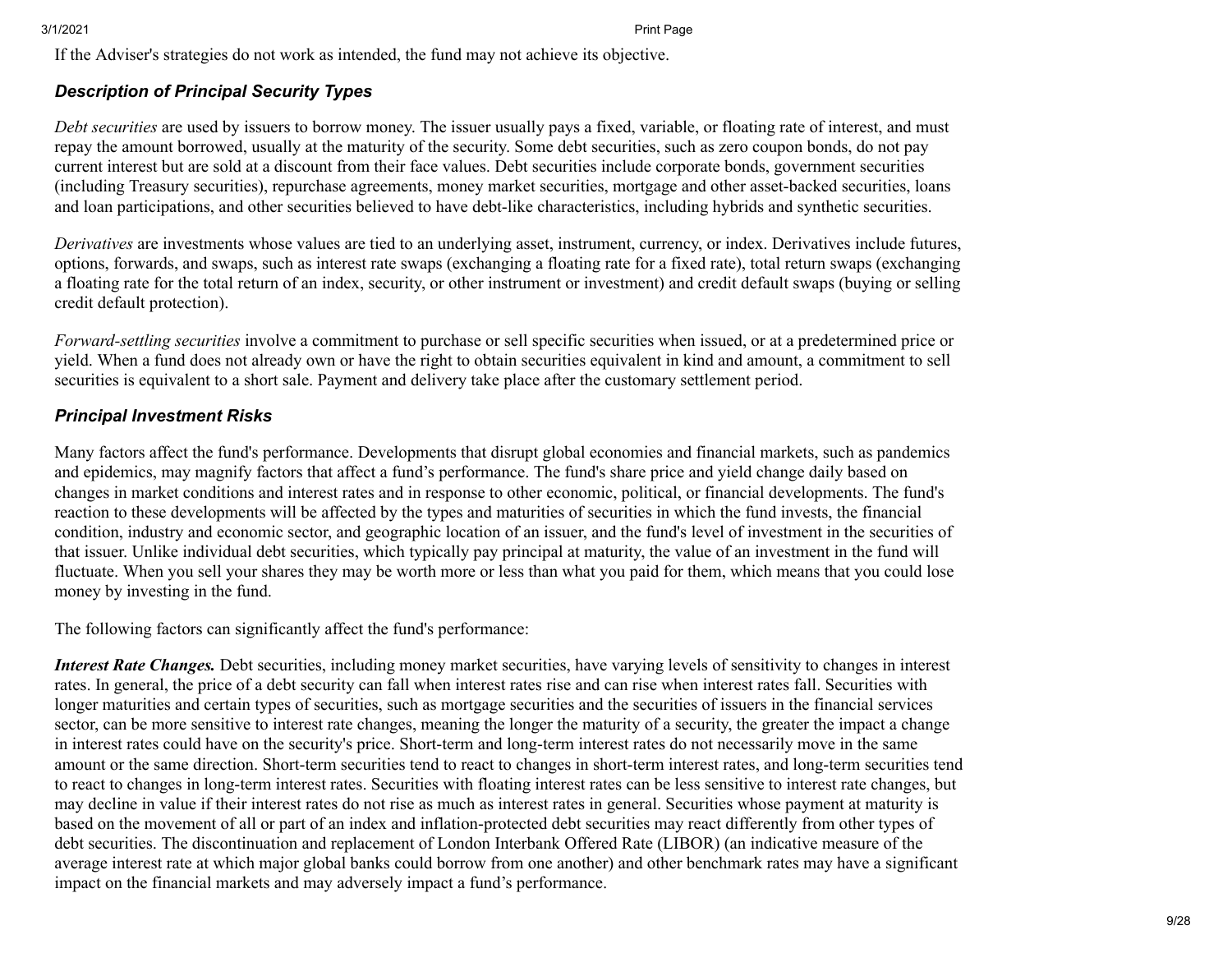If the Adviser's strategies do not work as intended, the fund may not achieve its objective.

### *Description of Principal Security Types*

*Debt securities* are used by issuers to borrow money. The issuer usually pays a fixed, variable, or floating rate of interest, and must repay the amount borrowed, usually at the maturity of the security. Some debt securities, such as zero coupon bonds, do not pay current interest but are sold at a discount from their face values. Debt securities include corporate bonds, government securities (including Treasury securities), repurchase agreements, money market securities, mortgage and other asset-backed securities, loans and loan participations, and other securities believed to have debt-like characteristics, including hybrids and synthetic securities.

*Derivatives* are investments whose values are tied to an underlying asset, instrument, currency, or index. Derivatives include futures, options, forwards, and swaps, such as interest rate swaps (exchanging a floating rate for a fixed rate), total return swaps (exchanging a floating rate for the total return of an index, security, or other instrument or investment) and credit default swaps (buying or selling credit default protection).

*Forward-settling securities* involve a commitment to purchase or sell specific securities when issued, or at a predetermined price or yield. When a fund does not already own or have the right to obtain securities equivalent in kind and amount, a commitment to sell securities is equivalent to a short sale. Payment and delivery take place after the customary settlement period.

#### *Principal Investment Risks*

Many factors affect the fund's performance. Developments that disrupt global economies and financial markets, such as pandemics and epidemics, may magnify factors that affect a fund's performance. The fund's share price and yield change daily based on changes in market conditions and interest rates and in response to other economic, political, or financial developments. The fund's reaction to these developments will be affected by the types and maturities of securities in which the fund invests, the financial condition, industry and economic sector, and geographic location of an issuer, and the fund's level of investment in the securities of that issuer. Unlike individual debt securities, which typically pay principal at maturity, the value of an investment in the fund will fluctuate. When you sell your shares they may be worth more or less than what you paid for them, which means that you could lose money by investing in the fund.

The following factors can significantly affect the fund's performance:

*Interest Rate Changes.* Debt securities, including money market securities, have varying levels of sensitivity to changes in interest rates. In general, the price of a debt security can fall when interest rates rise and can rise when interest rates fall. Securities with longer maturities and certain types of securities, such as mortgage securities and the securities of issuers in the financial services sector, can be more sensitive to interest rate changes, meaning the longer the maturity of a security, the greater the impact a change in interest rates could have on the security's price. Short-term and long-term interest rates do not necessarily move in the same amount or the same direction. Short-term securities tend to react to changes in short-term interest rates, and long-term securities tend to react to changes in long-term interest rates. Securities with floating interest rates can be less sensitive to interest rate changes, but may decline in value if their interest rates do not rise as much as interest rates in general. Securities whose payment at maturity is based on the movement of all or part of an index and inflation-protected debt securities may react differently from other types of debt securities. The discontinuation and replacement of London Interbank Offered Rate (LIBOR) (an indicative measure of the average interest rate at which major global banks could borrow from one another) and other benchmark rates may have a significant impact on the financial markets and may adversely impact a fund's performance.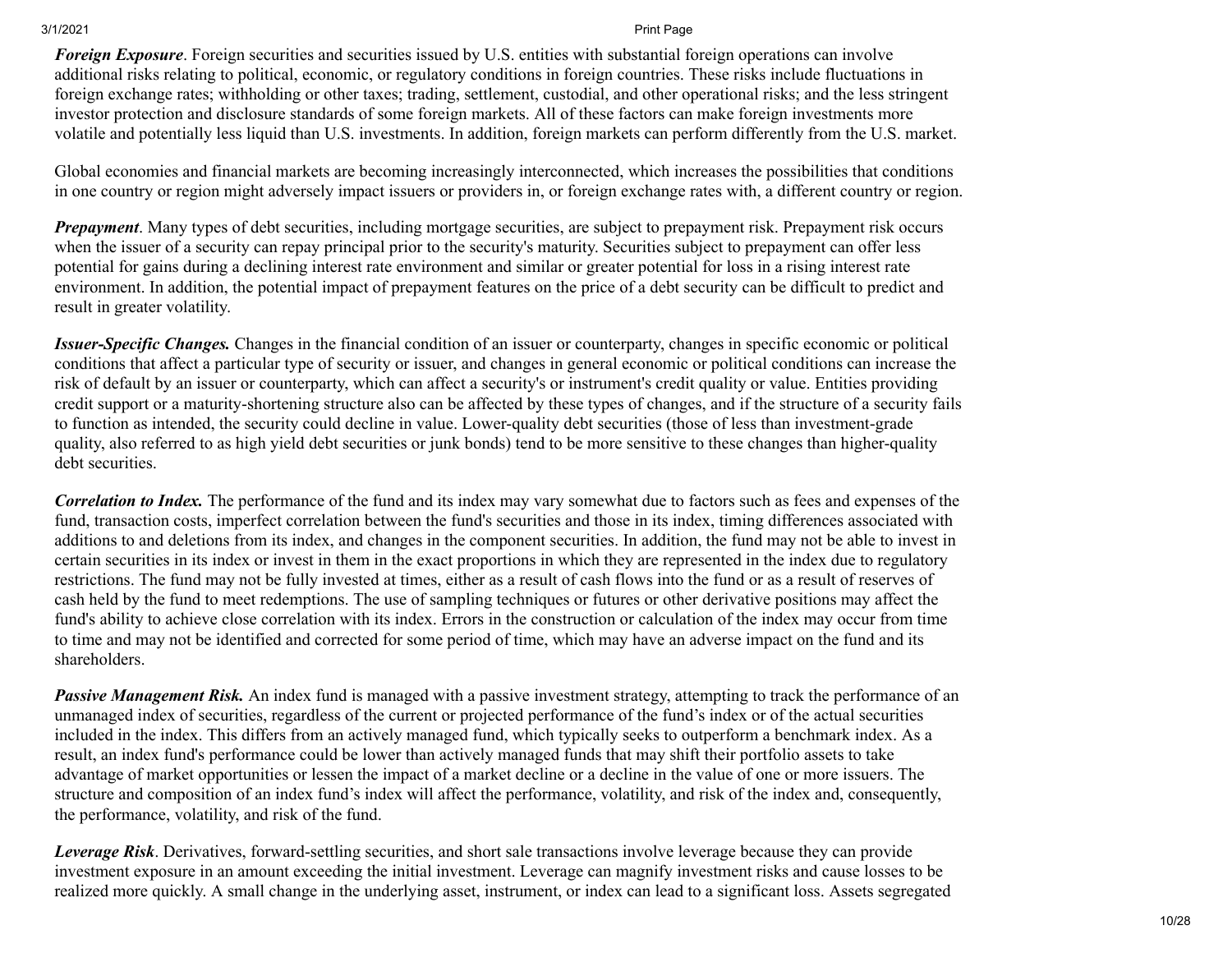*Foreign Exposure*. Foreign securities and securities issued by U.S. entities with substantial foreign operations can involve additional risks relating to political, economic, or regulatory conditions in foreign countries. These risks include fluctuations in foreign exchange rates; withholding or other taxes; trading, settlement, custodial, and other operational risks; and the less stringent investor protection and disclosure standards of some foreign markets. All of these factors can make foreign investments more volatile and potentially less liquid than U.S. investments. In addition, foreign markets can perform differently from the U.S. market.

Global economies and financial markets are becoming increasingly interconnected, which increases the possibilities that conditions in one country or region might adversely impact issuers or providers in, or foreign exchange rates with, a different country or region.

*Prepayment*. Many types of debt securities, including mortgage securities, are subject to prepayment risk. Prepayment risk occurs when the issuer of a security can repay principal prior to the security's maturity. Securities subject to prepayment can offer less potential for gains during a declining interest rate environment and similar or greater potential for loss in a rising interest rate environment. In addition, the potential impact of prepayment features on the price of a debt security can be difficult to predict and result in greater volatility.

*Issuer-Specific Changes.* Changes in the financial condition of an issuer or counterparty, changes in specific economic or political conditions that affect a particular type of security or issuer, and changes in general economic or political conditions can increase the risk of default by an issuer or counterparty, which can affect a security's or instrument's credit quality or value. Entities providing credit support or a maturity-shortening structure also can be affected by these types of changes, and if the structure of a security fails to function as intended, the security could decline in value. Lower-quality debt securities (those of less than investment-grade quality, also referred to as high yield debt securities or junk bonds) tend to be more sensitive to these changes than higher-quality debt securities.

*Correlation to Index.* The performance of the fund and its index may vary somewhat due to factors such as fees and expenses of the fund, transaction costs, imperfect correlation between the fund's securities and those in its index, timing differences associated with additions to and deletions from its index, and changes in the component securities. In addition, the fund may not be able to invest in certain securities in its index or invest in them in the exact proportions in which they are represented in the index due to regulatory restrictions. The fund may not be fully invested at times, either as a result of cash flows into the fund or as a result of reserves of cash held by the fund to meet redemptions. The use of sampling techniques or futures or other derivative positions may affect the fund's ability to achieve close correlation with its index. Errors in the construction or calculation of the index may occur from time to time and may not be identified and corrected for some period of time, which may have an adverse impact on the fund and its shareholders.

*Passive Management Risk.* An index fund is managed with a passive investment strategy, attempting to track the performance of an unmanaged index of securities, regardless of the current or projected performance of the fund's index or of the actual securities included in the index. This differs from an actively managed fund, which typically seeks to outperform a benchmark index. As a result, an index fund's performance could be lower than actively managed funds that may shift their portfolio assets to take advantage of market opportunities or lessen the impact of a market decline or a decline in the value of one or more issuers. The structure and composition of an index fund's index will affect the performance, volatility, and risk of the index and, consequently, the performance, volatility, and risk of the fund.

*Leverage Risk*. Derivatives, forward-settling securities, and short sale transactions involve leverage because they can provide investment exposure in an amount exceeding the initial investment. Leverage can magnify investment risks and cause losses to be realized more quickly. A small change in the underlying asset, instrument, or index can lead to a significant loss. Assets segregated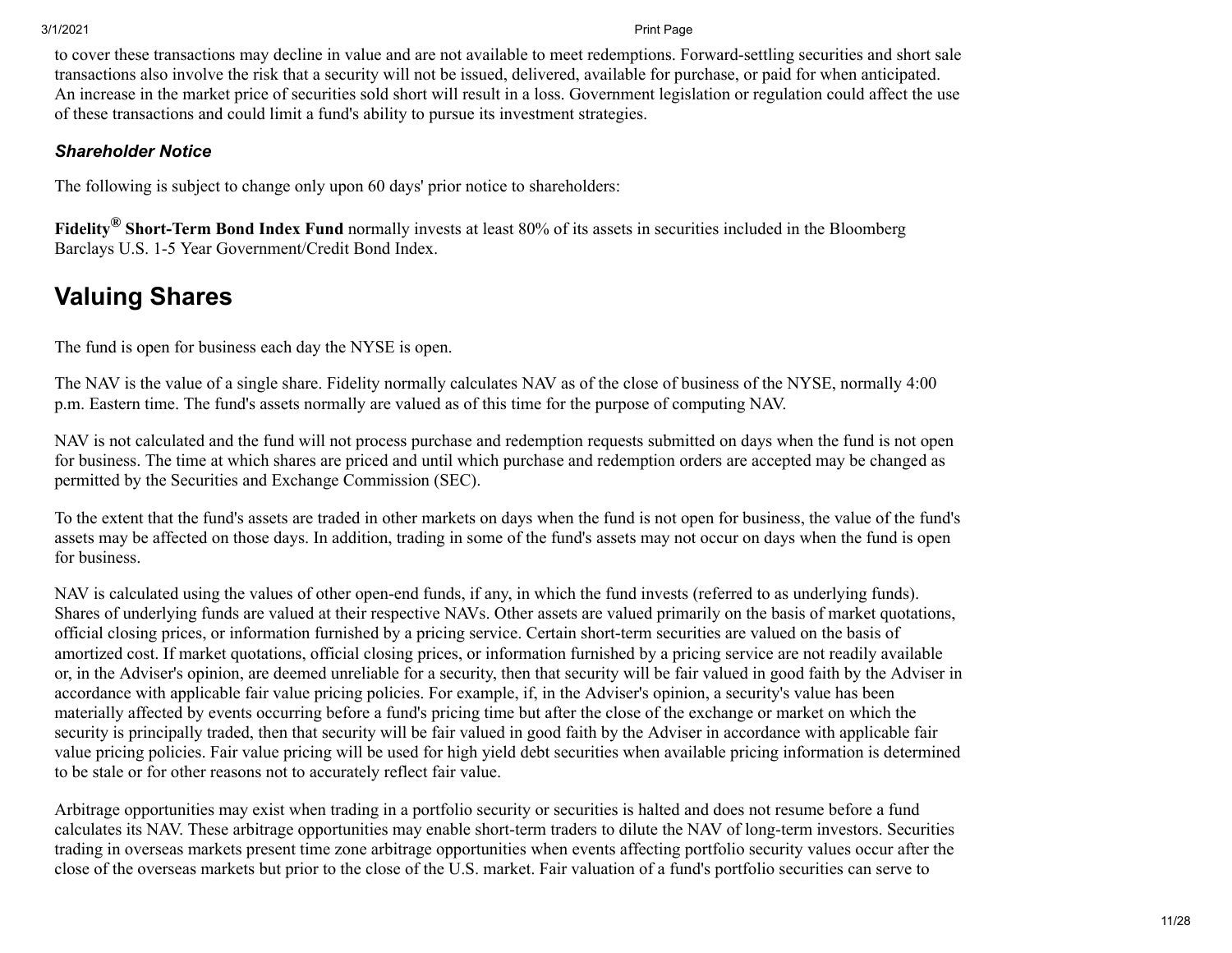to cover these transactions may decline in value and are not available to meet redemptions. Forward-settling securities and short sale transactions also involve the risk that a security will not be issued, delivered, available for purchase, or paid for when anticipated. An increase in the market price of securities sold short will result in a loss. Government legislation or regulation could affect the use of these transactions and could limit a fund's ability to pursue its investment strategies.

#### *Shareholder Notice*

The following is subject to change only upon 60 days' prior notice to shareholders:

**Fidelity® Short-Term Bond Index Fund** normally invests at least 80% of its assets in securities included in the Bloomberg Barclays U.S. 1-5 Year Government/Credit Bond Index.

### <span id="page-10-0"></span>**Valuing Shares**

The fund is open for business each day the NYSE is open.

The NAV is the value of a single share. Fidelity normally calculates NAV as of the close of business of the NYSE, normally 4:00 p.m. Eastern time. The fund's assets normally are valued as of this time for the purpose of computing NAV.

NAV is not calculated and the fund will not process purchase and redemption requests submitted on days when the fund is not open for business. The time at which shares are priced and until which purchase and redemption orders are accepted may be changed as permitted by the Securities and Exchange Commission (SEC).

To the extent that the fund's assets are traded in other markets on days when the fund is not open for business, the value of the fund's assets may be affected on those days. In addition, trading in some of the fund's assets may not occur on days when the fund is open for business.

NAV is calculated using the values of other open-end funds, if any, in which the fund invests (referred to as underlying funds). Shares of underlying funds are valued at their respective NAVs. Other assets are valued primarily on the basis of market quotations, official closing prices, or information furnished by a pricing service. Certain short-term securities are valued on the basis of amortized cost. If market quotations, official closing prices, or information furnished by a pricing service are not readily available or, in the Adviser's opinion, are deemed unreliable for a security, then that security will be fair valued in good faith by the Adviser in accordance with applicable fair value pricing policies. For example, if, in the Adviser's opinion, a security's value has been materially affected by events occurring before a fund's pricing time but after the close of the exchange or market on which the security is principally traded, then that security will be fair valued in good faith by the Adviser in accordance with applicable fair value pricing policies. Fair value pricing will be used for high yield debt securities when available pricing information is determined to be stale or for other reasons not to accurately reflect fair value.

Arbitrage opportunities may exist when trading in a portfolio security or securities is halted and does not resume before a fund calculates its NAV. These arbitrage opportunities may enable short-term traders to dilute the NAV of long-term investors. Securities trading in overseas markets present time zone arbitrage opportunities when events affecting portfolio security values occur after the close of the overseas markets but prior to the close of the U.S. market. Fair valuation of a fund's portfolio securities can serve to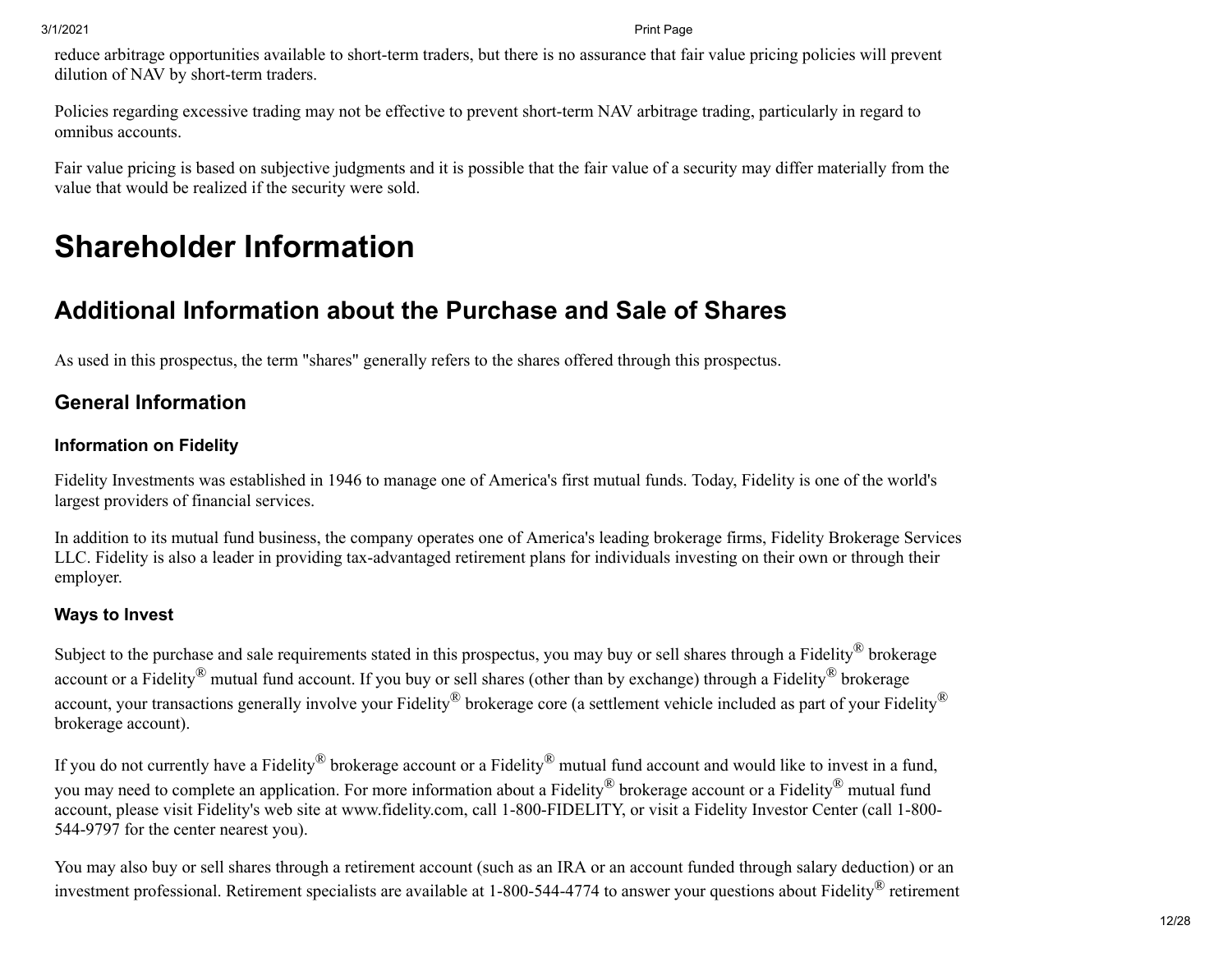reduce arbitrage opportunities available to short-term traders, but there is no assurance that fair value pricing policies will prevent dilution of NAV by short-term traders.

Policies regarding excessive trading may not be effective to prevent short-term NAV arbitrage trading, particularly in regard to omnibus accounts.

Fair value pricing is based on subjective judgments and it is possible that the fair value of a security may differ materially from the value that would be realized if the security were sold.

# **Shareholder Information**

### <span id="page-11-0"></span>**Additional Information about the Purchase and Sale of Shares**

As used in this prospectus, the term "shares" generally refers to the shares offered through this prospectus.

### **General Information**

### **Information on Fidelity**

Fidelity Investments was established in 1946 to manage one of America's first mutual funds. Today, Fidelity is one of the world's largest providers of financial services.

In addition to its mutual fund business, the company operates one of America's leading brokerage firms, Fidelity Brokerage Services LLC. Fidelity is also a leader in providing tax-advantaged retirement plans for individuals investing on their own or through their employer.

### **Ways to Invest**

Subject to the purchase and sale requirements stated in this prospectus, you may buy or sell shares through a Fidelity<sup>®</sup> brokerage account or a Fidelity<sup>®</sup> mutual fund account. If you buy or sell shares (other than by exchange) through a Fidelity<sup>®</sup> brokerage account, your transactions generally involve your Fidelity<sup>®</sup> brokerage core (a settlement vehicle included as part of your Fidelity<sup>®</sup> brokerage account).

If you do not currently have a Fidelity<sup>®</sup> brokerage account or a Fidelity<sup>®</sup> mutual fund account and would like to invest in a fund, you may need to complete an application. For more information about a Fidelity® brokerage account or a Fidelity® mutual fund account, please visit Fidelity's web site at www.fidelity.com, call 1-800-FIDELITY, or visit a Fidelity Investor Center (call 1-800- 544-9797 for the center nearest you).

You may also buy or sell shares through a retirement account (such as an IRA or an account funded through salary deduction) or an investment professional. Retirement specialists are available at 1-800-544-4774 to answer your questions about Fidelity® retirement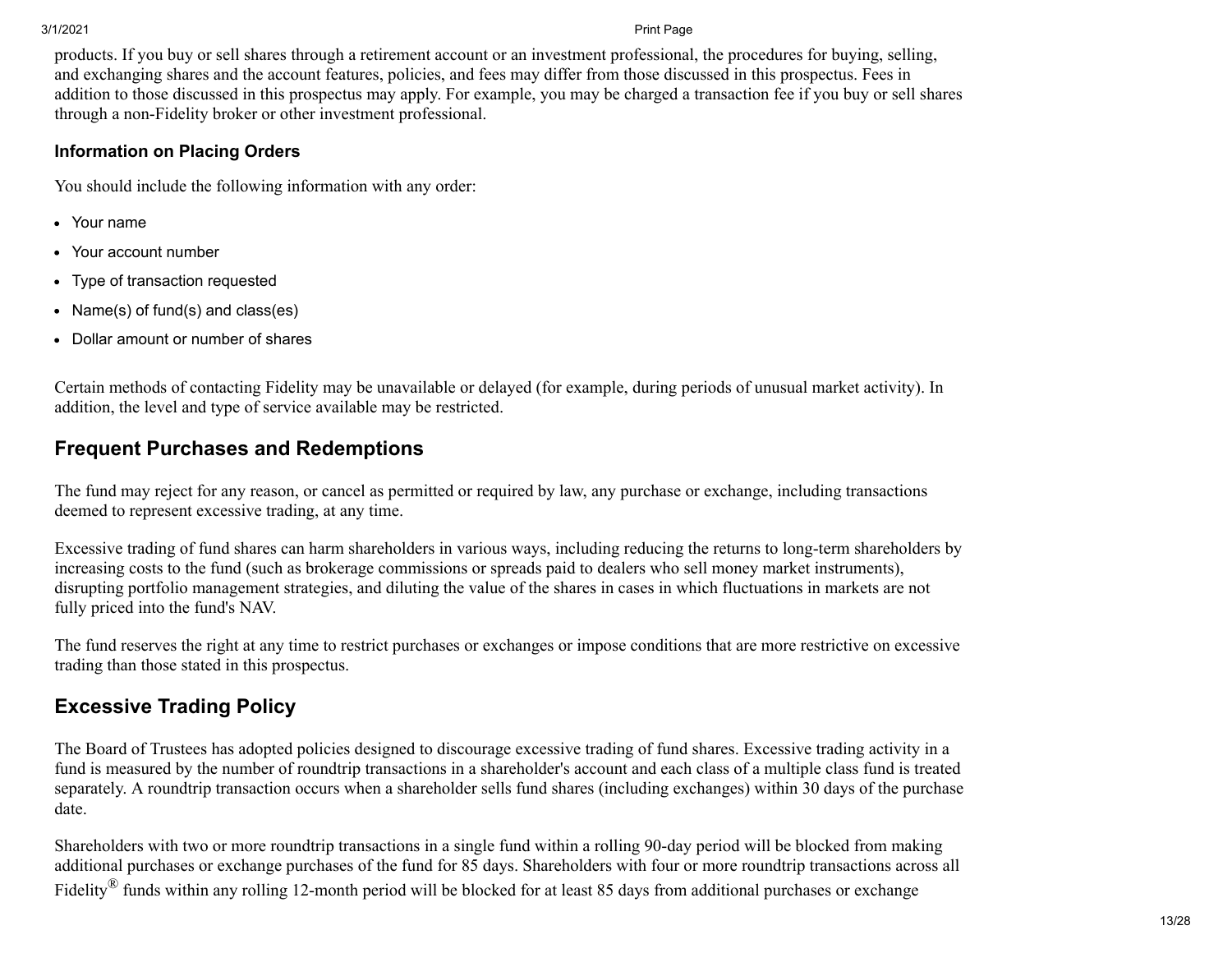products. If you buy or sell shares through a retirement account or an investment professional, the procedures for buying, selling, and exchanging shares and the account features, policies, and fees may differ from those discussed in this prospectus. Fees in addition to those discussed in this prospectus may apply. For example, you may be charged a transaction fee if you buy or sell shares through a non-Fidelity broker or other investment professional.

#### **Information on Placing Orders**

You should include the following information with any order:

- Your name
- Your account number
- Type of transaction requested  $\bullet$
- Name(s) of fund(s) and class(es)
- Dollar amount or number of shares

Certain methods of contacting Fidelity may be unavailable or delayed (for example, during periods of unusual market activity). In addition, the level and type of service available may be restricted.

### **Frequent Purchases and Redemptions**

The fund may reject for any reason, or cancel as permitted or required by law, any purchase or exchange, including transactions deemed to represent excessive trading, at any time.

Excessive trading of fund shares can harm shareholders in various ways, including reducing the returns to long-term shareholders by increasing costs to the fund (such as brokerage commissions or spreads paid to dealers who sell money market instruments), disrupting portfolio management strategies, and diluting the value of the shares in cases in which fluctuations in markets are not fully priced into the fund's NAV.

The fund reserves the right at any time to restrict purchases or exchanges or impose conditions that are more restrictive on excessive trading than those stated in this prospectus.

### **Excessive Trading Policy**

The Board of Trustees has adopted policies designed to discourage excessive trading of fund shares. Excessive trading activity in a fund is measured by the number of roundtrip transactions in a shareholder's account and each class of a multiple class fund is treated separately. A roundtrip transaction occurs when a shareholder sells fund shares (including exchanges) within 30 days of the purchase date.

Shareholders with two or more roundtrip transactions in a single fund within a rolling 90-day period will be blocked from making additional purchases or exchange purchases of the fund for 85 days. Shareholders with four or more roundtrip transactions across all Fidelity<sup>®</sup> funds within any rolling 12-month period will be blocked for at least 85 days from additional purchases or exchange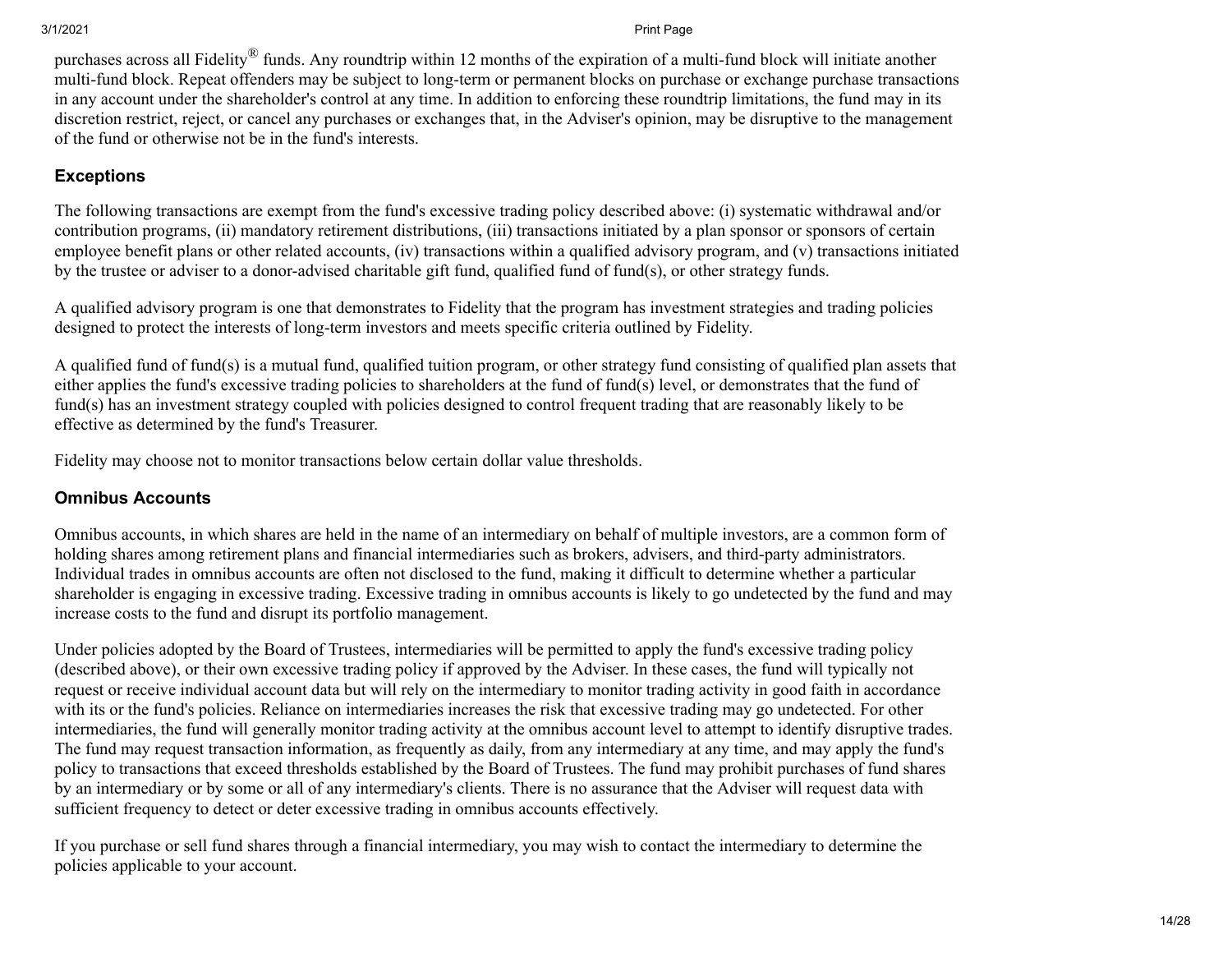purchases across all Fidelity® funds. Any roundtrip within 12 months of the expiration of a multi-fund block will initiate another multi-fund block. Repeat offenders may be subject to long-term or permanent blocks on purchase or exchange purchase transactions in any account under the shareholder's control at any time. In addition to enforcing these roundtrip limitations, the fund may in its discretion restrict, reject, or cancel any purchases or exchanges that, in the Adviser's opinion, may be disruptive to the management of the fund or otherwise not be in the fund's interests.

### **Exceptions**

The following transactions are exempt from the fund's excessive trading policy described above: (i) systematic withdrawal and/or contribution programs, (ii) mandatory retirement distributions, (iii) transactions initiated by a plan sponsor or sponsors of certain employee benefit plans or other related accounts, (iv) transactions within a qualified advisory program, and (v) transactions initiated by the trustee or adviser to a donor-advised charitable gift fund, qualified fund of fund(s), or other strategy funds.

A qualified advisory program is one that demonstrates to Fidelity that the program has investment strategies and trading policies designed to protect the interests of long-term investors and meets specific criteria outlined by Fidelity.

A qualified fund of fund(s) is a mutual fund, qualified tuition program, or other strategy fund consisting of qualified plan assets that either applies the fund's excessive trading policies to shareholders at the fund of fund(s) level, or demonstrates that the fund of fund(s) has an investment strategy coupled with policies designed to control frequent trading that are reasonably likely to be effective as determined by the fund's Treasurer.

Fidelity may choose not to monitor transactions below certain dollar value thresholds.

#### **Omnibus Accounts**

Omnibus accounts, in which shares are held in the name of an intermediary on behalf of multiple investors, are a common form of holding shares among retirement plans and financial intermediaries such as brokers, advisers, and third-party administrators. Individual trades in omnibus accounts are often not disclosed to the fund, making it difficult to determine whether a particular shareholder is engaging in excessive trading. Excessive trading in omnibus accounts is likely to go undetected by the fund and may increase costs to the fund and disrupt its portfolio management.

Under policies adopted by the Board of Trustees, intermediaries will be permitted to apply the fund's excessive trading policy (described above), or their own excessive trading policy if approved by the Adviser. In these cases, the fund will typically not request or receive individual account data but will rely on the intermediary to monitor trading activity in good faith in accordance with its or the fund's policies. Reliance on intermediaries increases the risk that excessive trading may go undetected. For other intermediaries, the fund will generally monitor trading activity at the omnibus account level to attempt to identify disruptive trades. The fund may request transaction information, as frequently as daily, from any intermediary at any time, and may apply the fund's policy to transactions that exceed thresholds established by the Board of Trustees. The fund may prohibit purchases of fund shares by an intermediary or by some or all of any intermediary's clients. There is no assurance that the Adviser will request data with sufficient frequency to detect or deter excessive trading in omnibus accounts effectively.

If you purchase or sell fund shares through a financial intermediary, you may wish to contact the intermediary to determine the policies applicable to your account.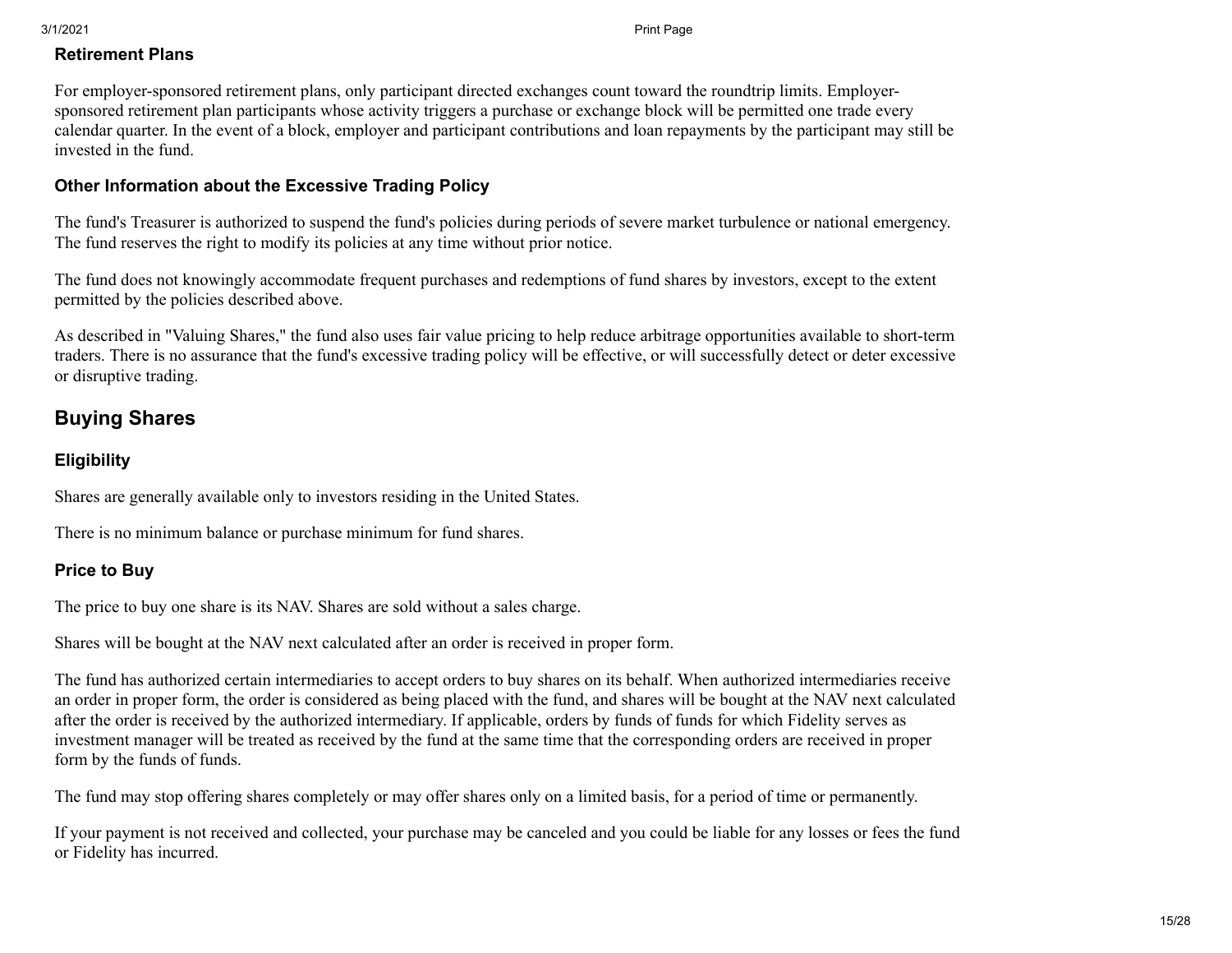#### **Retirement Plans**

For employer-sponsored retirement plans, only participant directed exchanges count toward the roundtrip limits. Employersponsored retirement plan participants whose activity triggers a purchase or exchange block will be permitted one trade every calendar quarter. In the event of a block, employer and participant contributions and loan repayments by the participant may still be invested in the fund.

#### **Other Information about the Excessive Trading Policy**

The fund's Treasurer is authorized to suspend the fund's policies during periods of severe market turbulence or national emergency. The fund reserves the right to modify its policies at any time without prior notice.

The fund does not knowingly accommodate frequent purchases and redemptions of fund shares by investors, except to the extent permitted by the policies described above.

As described in "Valuing Shares," the fund also uses fair value pricing to help reduce arbitrage opportunities available to short-term traders. There is no assurance that the fund's excessive trading policy will be effective, or will successfully detect or deter excessive or disruptive trading.

### **Buying Shares**

#### **Eligibility**

Shares are generally available only to investors residing in the United States.

There is no minimum balance or purchase minimum for fund shares.

#### **Price to Buy**

The price to buy one share is its NAV. Shares are sold without a sales charge.

Shares will be bought at the NAV next calculated after an order is received in proper form.

The fund has authorized certain intermediaries to accept orders to buy shares on its behalf. When authorized intermediaries receive an order in proper form, the order is considered as being placed with the fund, and shares will be bought at the NAV next calculated after the order is received by the authorized intermediary. If applicable, orders by funds of funds for which Fidelity serves as investment manager will be treated as received by the fund at the same time that the corresponding orders are received in proper form by the funds of funds.

The fund may stop offering shares completely or may offer shares only on a limited basis, for a period of time or permanently.

If your payment is not received and collected, your purchase may be canceled and you could be liable for any losses or fees the fund or Fidelity has incurred.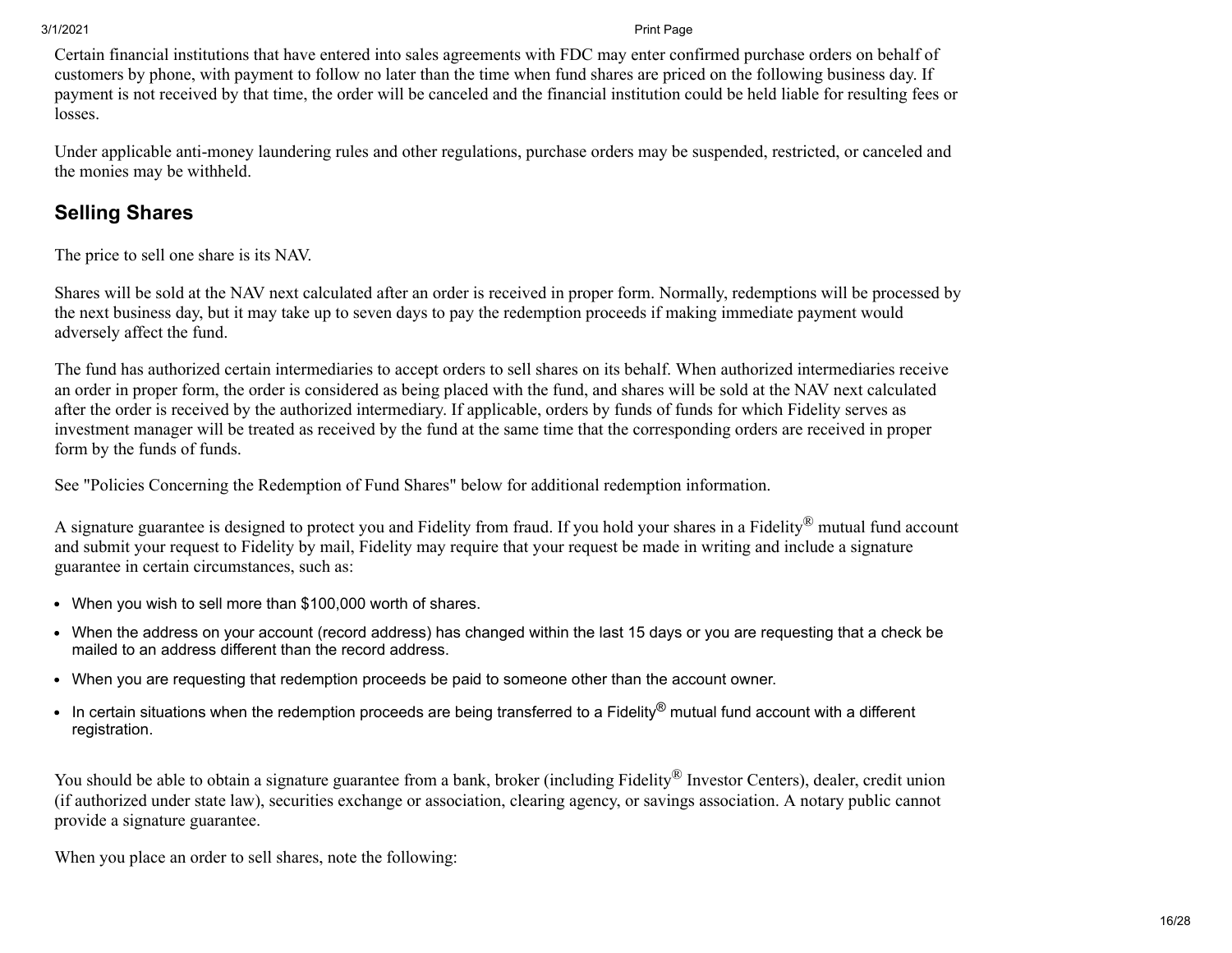Certain financial institutions that have entered into sales agreements with FDC may enter confirmed purchase orders on behalf of customers by phone, with payment to follow no later than the time when fund shares are priced on the following business day. If payment is not received by that time, the order will be canceled and the financial institution could be held liable for resulting fees or losses.

Under applicable anti-money laundering rules and other regulations, purchase orders may be suspended, restricted, or canceled and the monies may be withheld.

### **Selling Shares**

The price to sell one share is its NAV.

Shares will be sold at the NAV next calculated after an order is received in proper form. Normally, redemptions will be processed by the next business day, but it may take up to seven days to pay the redemption proceeds if making immediate payment would adversely affect the fund.

The fund has authorized certain intermediaries to accept orders to sell shares on its behalf. When authorized intermediaries receive an order in proper form, the order is considered as being placed with the fund, and shares will be sold at the NAV next calculated after the order is received by the authorized intermediary. If applicable, orders by funds of funds for which Fidelity serves as investment manager will be treated as received by the fund at the same time that the corresponding orders are received in proper form by the funds of funds.

See "Policies Concerning the Redemption of Fund Shares" below for additional redemption information.

A signature guarantee is designed to protect you and Fidelity from fraud. If you hold your shares in a Fidelity<sup>®</sup> mutual fund account and submit your request to Fidelity by mail, Fidelity may require that your request be made in writing and include a signature guarantee in certain circumstances, such as:

- When you wish to sell more than \$100,000 worth of shares.
- When the address on your account (record address) has changed within the last 15 days or you are requesting that a check be mailed to an address different than the record address.
- When you are requesting that redemption proceeds be paid to someone other than the account owner.
- In certain situations when the redemption proceeds are being transferred to a Fidelity® mutual fund account with a different registration.

You should be able to obtain a signature guarantee from a bank, broker (including Fidelity<sup>®</sup> Investor Centers), dealer, credit union (if authorized under state law), securities exchange or association, clearing agency, or savings association. A notary public cannot provide a signature guarantee.

When you place an order to sell shares, note the following: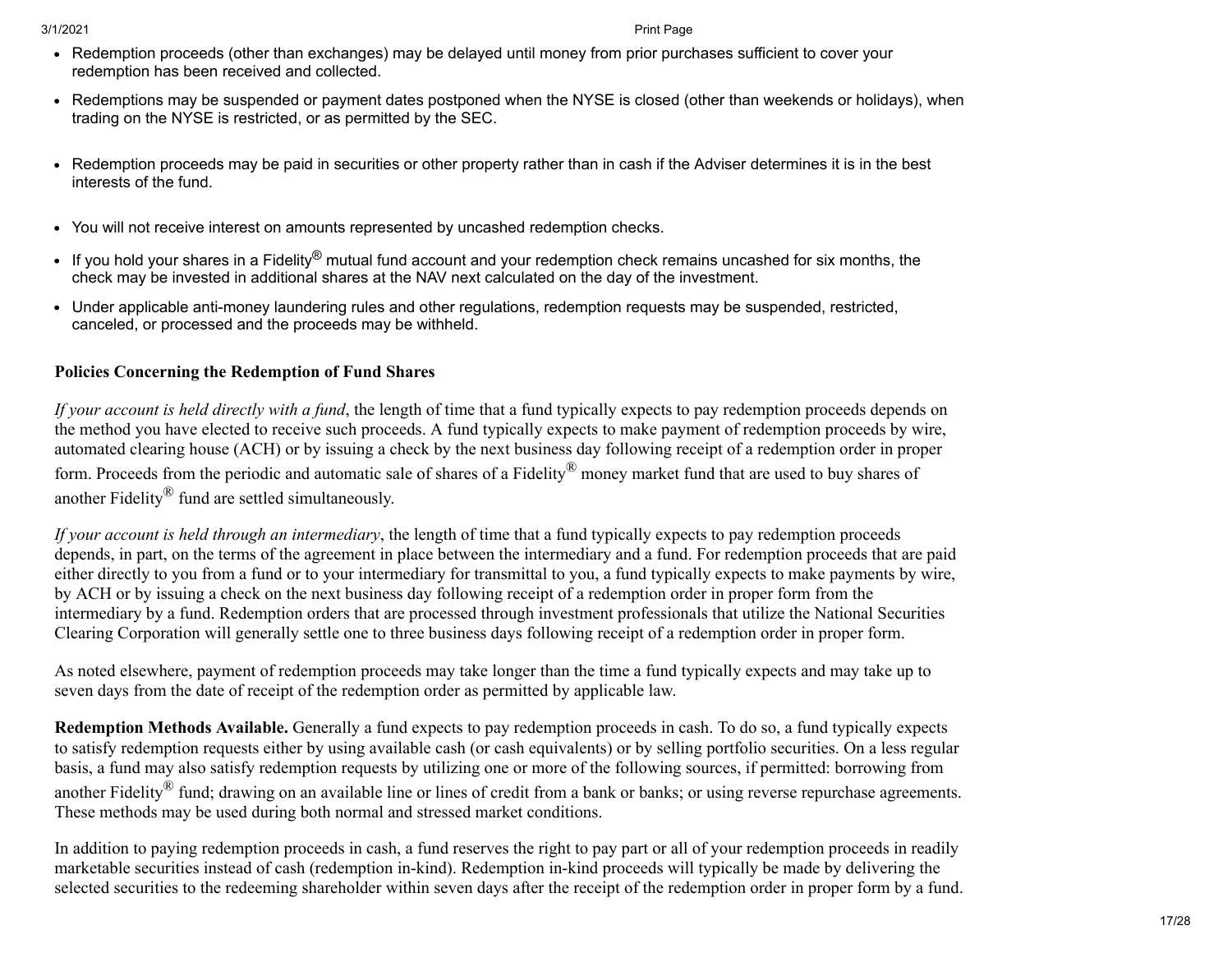- Redemption proceeds (other than exchanges) may be delayed until money from prior purchases sufficient to cover your redemption has been received and collected.
- Redemptions may be suspended or payment dates postponed when the NYSE is closed (other than weekends or holidays), when trading on the NYSE is restricted, or as permitted by the SEC.
- Redemption proceeds may be paid in securities or other property rather than in cash if the Adviser determines it is in the best interests of the fund.
- You will not receive interest on amounts represented by uncashed redemption checks.
- If you hold your shares in a Fidelity® mutual fund account and your redemption check remains uncashed for six months, the check may be invested in additional shares at the NAV next calculated on the day of the investment.
- Under applicable anti-money laundering rules and other regulations, redemption requests may be suspended, restricted, canceled, or processed and the proceeds may be withheld.

### **Policies Concerning the Redemption of Fund Shares**

*If your account is held directly with a fund*, the length of time that a fund typically expects to pay redemption proceeds depends on the method you have elected to receive such proceeds. A fund typically expects to make payment of redemption proceeds by wire, automated clearing house (ACH) or by issuing a check by the next business day following receipt of a redemption order in proper form. Proceeds from the periodic and automatic sale of shares of a Fidelity® money market fund that are used to buy shares of another Fidelity® fund are settled simultaneously.

*If your account is held through an intermediary*, the length of time that a fund typically expects to pay redemption proceeds depends, in part, on the terms of the agreement in place between the intermediary and a fund. For redemption proceeds that are paid either directly to you from a fund or to your intermediary for transmittal to you, a fund typically expects to make payments by wire, by ACH or by issuing a check on the next business day following receipt of a redemption order in proper form from the intermediary by a fund. Redemption orders that are processed through investment professionals that utilize the National Securities Clearing Corporation will generally settle one to three business days following receipt of a redemption order in proper form.

As noted elsewhere, payment of redemption proceeds may take longer than the time a fund typically expects and may take up to seven days from the date of receipt of the redemption order as permitted by applicable law.

**Redemption Methods Available.** Generally a fund expects to pay redemption proceeds in cash. To do so, a fund typically expects to satisfy redemption requests either by using available cash (or cash equivalents) or by selling portfolio securities. On a less regular basis, a fund may also satisfy redemption requests by utilizing one or more of the following sources, if permitted: borrowing from another Fidelity<sup>®</sup> fund; drawing on an available line or lines of credit from a bank or banks; or using reverse repurchase agreements. These methods may be used during both normal and stressed market conditions.

In addition to paying redemption proceeds in cash, a fund reserves the right to pay part or all of your redemption proceeds in readily marketable securities instead of cash (redemption in-kind). Redemption in-kind proceeds will typically be made by delivering the selected securities to the redeeming shareholder within seven days after the receipt of the redemption order in proper form by a fund.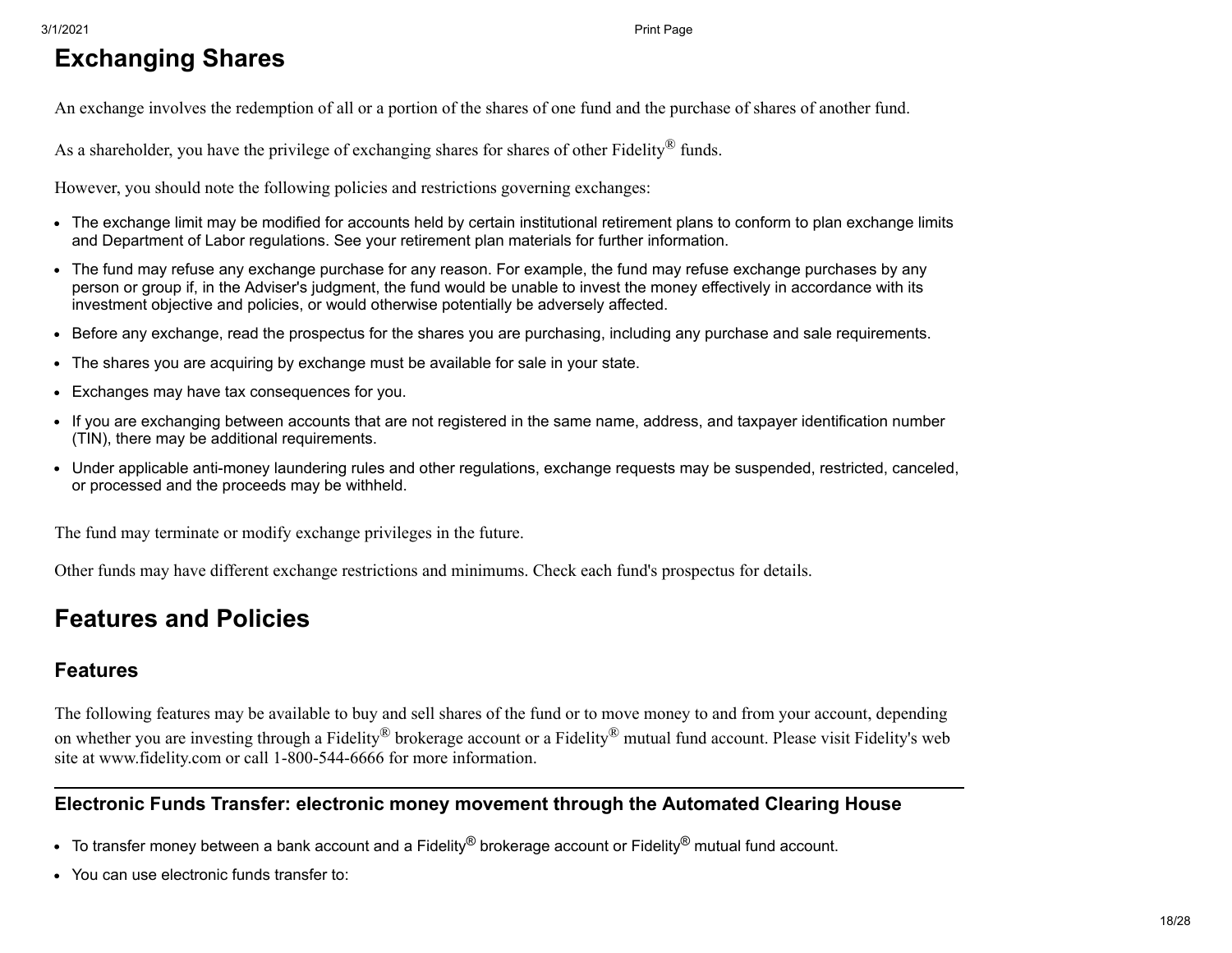# <span id="page-17-0"></span>**Exchanging Shares**

An exchange involves the redemption of all or a portion of the shares of one fund and the purchase of shares of another fund.

As a shareholder, you have the privilege of exchanging shares for shares of other Fidelity<sup>®</sup> funds.

However, you should note the following policies and restrictions governing exchanges:

- The exchange limit may be modified for accounts held by certain institutional retirement plans to conform to plan exchange limits and Department of Labor regulations. See your retirement plan materials for further information.
- The fund may refuse any exchange purchase for any reason. For example, the fund may refuse exchange purchases by any person or group if, in the Adviser's judgment, the fund would be unable to invest the money effectively in accordance with its investment objective and policies, or would otherwise potentially be adversely affected.
- Before any exchange, read the prospectus for the shares you are purchasing, including any purchase and sale requirements.
- The shares you are acquiring by exchange must be available for sale in your state.
- Exchanges may have tax consequences for you.
- If you are exchanging between accounts that are not registered in the same name, address, and taxpayer identification number (TIN), there may be additional requirements.
- Under applicable anti-money laundering rules and other regulations, exchange requests may be suspended, restricted, canceled, or processed and the proceeds may be withheld.

The fund may terminate or modify exchange privileges in the future.

Other funds may have different exchange restrictions and minimums. Check each fund's prospectus for details.

### <span id="page-17-1"></span>**Features and Policies**

### **Features**

The following features may be available to buy and sell shares of the fund or to move money to and from your account, depending on whether you are investing through a Fidelity® brokerage account or a Fidelity® mutual fund account. Please visit Fidelity's web site at www.fidelity.com or call 1-800-544-6666 for more information.

#### **Electronic Funds Transfer: electronic money movement through the Automated Clearing House**

- $\bullet$  To transfer money between a bank account and a Fidelity<sup>®</sup> brokerage account or Fidelity<sup>®</sup> mutual fund account.
- You can use electronic funds transfer to: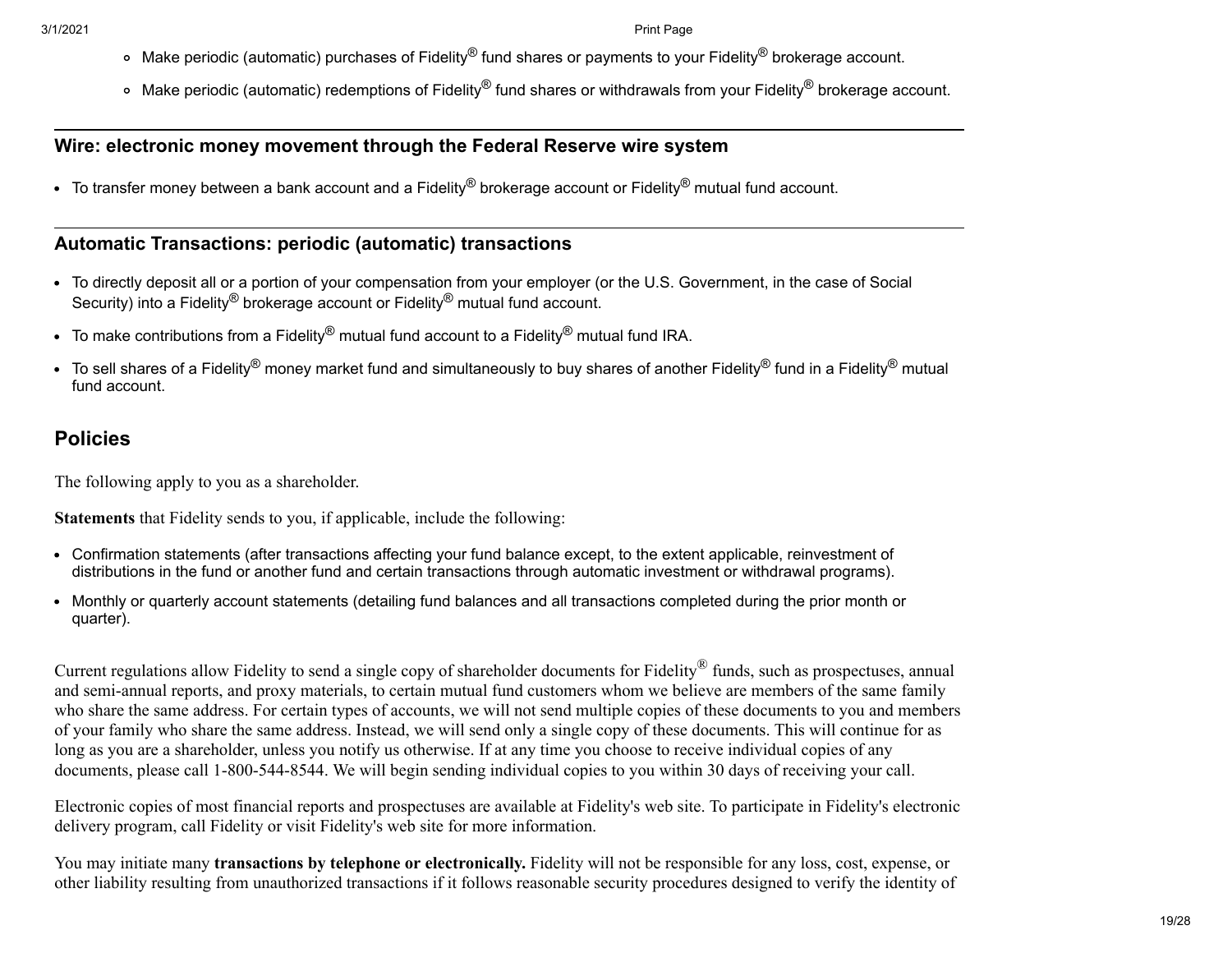- Make periodic (automatic) purchases of Fidelity® fund shares or payments to your Fidelity® brokerage account.
- $\circ$  Make periodic (automatic) redemptions of Fidelity® fund shares or withdrawals from your Fidelity® brokerage account.

#### **Wire: electronic money movement through the Federal Reserve wire system**

 $\bullet$  To transfer money between a bank account and a Fidelity<sup>®</sup> brokerage account or Fidelity<sup>®</sup> mutual fund account.

### **Automatic Transactions: periodic (automatic) transactions**

- To directly deposit all or a portion of your compensation from your employer (or the U.S. Government, in the case of Social Security) into a Fidelity<sup>®</sup> brokerage account or Fidelity<sup>®</sup> mutual fund account.
- To make contributions from a Fidelity® mutual fund account to a Fidelity® mutual fund IRA.
- To sell shares of a Fidelity® money market fund and simultaneously to buy shares of another Fidelity® fund in a Fidelity® mutual fund account.

### **Policies**

The following apply to you as a shareholder.

**Statements** that Fidelity sends to you, if applicable, include the following:

- Confirmation statements (after transactions affecting your fund balance except, to the extent applicable, reinvestment of distributions in the fund or another fund and certain transactions through automatic investment or withdrawal programs).
- Monthly or quarterly account statements (detailing fund balances and all transactions completed during the prior month or quarter).

Current regulations allow Fidelity to send a single copy of shareholder documents for Fidelity<sup>®</sup> funds, such as prospectuses, annual and semi-annual reports, and proxy materials, to certain mutual fund customers whom we believe are members of the same family who share the same address. For certain types of accounts, we will not send multiple copies of these documents to you and members of your family who share the same address. Instead, we will send only a single copy of these documents. This will continue for as long as you are a shareholder, unless you notify us otherwise. If at any time you choose to receive individual copies of any documents, please call 1-800-544-8544. We will begin sending individual copies to you within 30 days of receiving your call.

Electronic copies of most financial reports and prospectuses are available at Fidelity's web site. To participate in Fidelity's electronic delivery program, call Fidelity or visit Fidelity's web site for more information.

You may initiate many **transactions by telephone or electronically.** Fidelity will not be responsible for any loss, cost, expense, or other liability resulting from unauthorized transactions if it follows reasonable security procedures designed to verify the identity of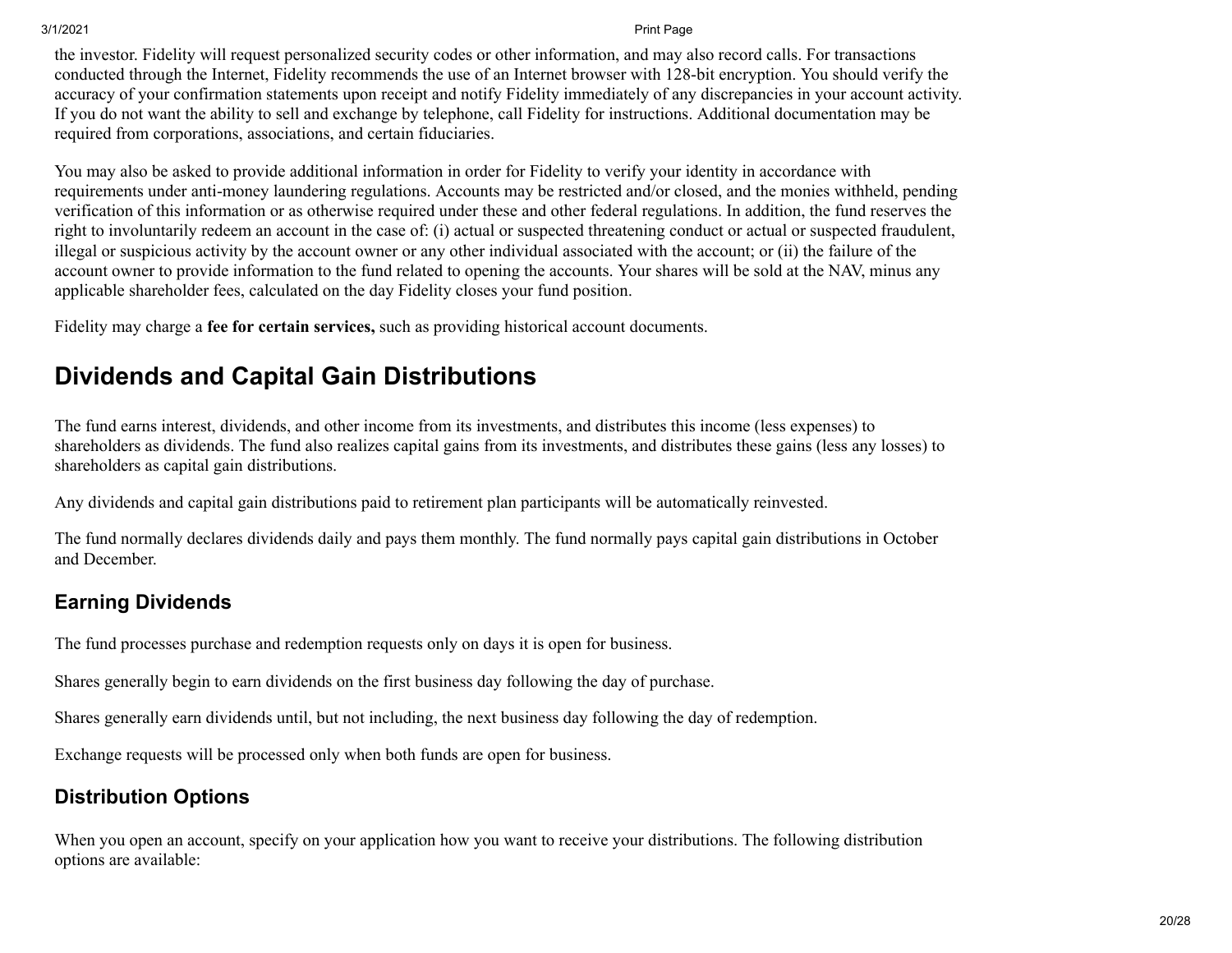the investor. Fidelity will request personalized security codes or other information, and may also record calls. For transactions conducted through the Internet, Fidelity recommends the use of an Internet browser with 128-bit encryption. You should verify the accuracy of your confirmation statements upon receipt and notify Fidelity immediately of any discrepancies in your account activity. If you do not want the ability to sell and exchange by telephone, call Fidelity for instructions. Additional documentation may be required from corporations, associations, and certain fiduciaries.

You may also be asked to provide additional information in order for Fidelity to verify your identity in accordance with requirements under anti-money laundering regulations. Accounts may be restricted and/or closed, and the monies withheld, pending verification of this information or as otherwise required under these and other federal regulations. In addition, the fund reserves the right to involuntarily redeem an account in the case of: (i) actual or suspected threatening conduct or actual or suspected fraudulent, illegal or suspicious activity by the account owner or any other individual associated with the account; or (ii) the failure of the account owner to provide information to the fund related to opening the accounts. Your shares will be sold at the NAV, minus any applicable shareholder fees, calculated on the day Fidelity closes your fund position.

Fidelity may charge a **fee for certain services,** such as providing historical account documents.

## <span id="page-19-0"></span>**Dividends and Capital Gain Distributions**

The fund earns interest, dividends, and other income from its investments, and distributes this income (less expenses) to shareholders as dividends. The fund also realizes capital gains from its investments, and distributes these gains (less any losses) to shareholders as capital gain distributions.

Any dividends and capital gain distributions paid to retirement plan participants will be automatically reinvested.

The fund normally declares dividends daily and pays them monthly. The fund normally pays capital gain distributions in October and December.

### **Earning Dividends**

The fund processes purchase and redemption requests only on days it is open for business.

Shares generally begin to earn dividends on the first business day following the day of purchase.

Shares generally earn dividends until, but not including, the next business day following the day of redemption.

Exchange requests will be processed only when both funds are open for business.

### **Distribution Options**

When you open an account, specify on your application how you want to receive your distributions. The following distribution options are available: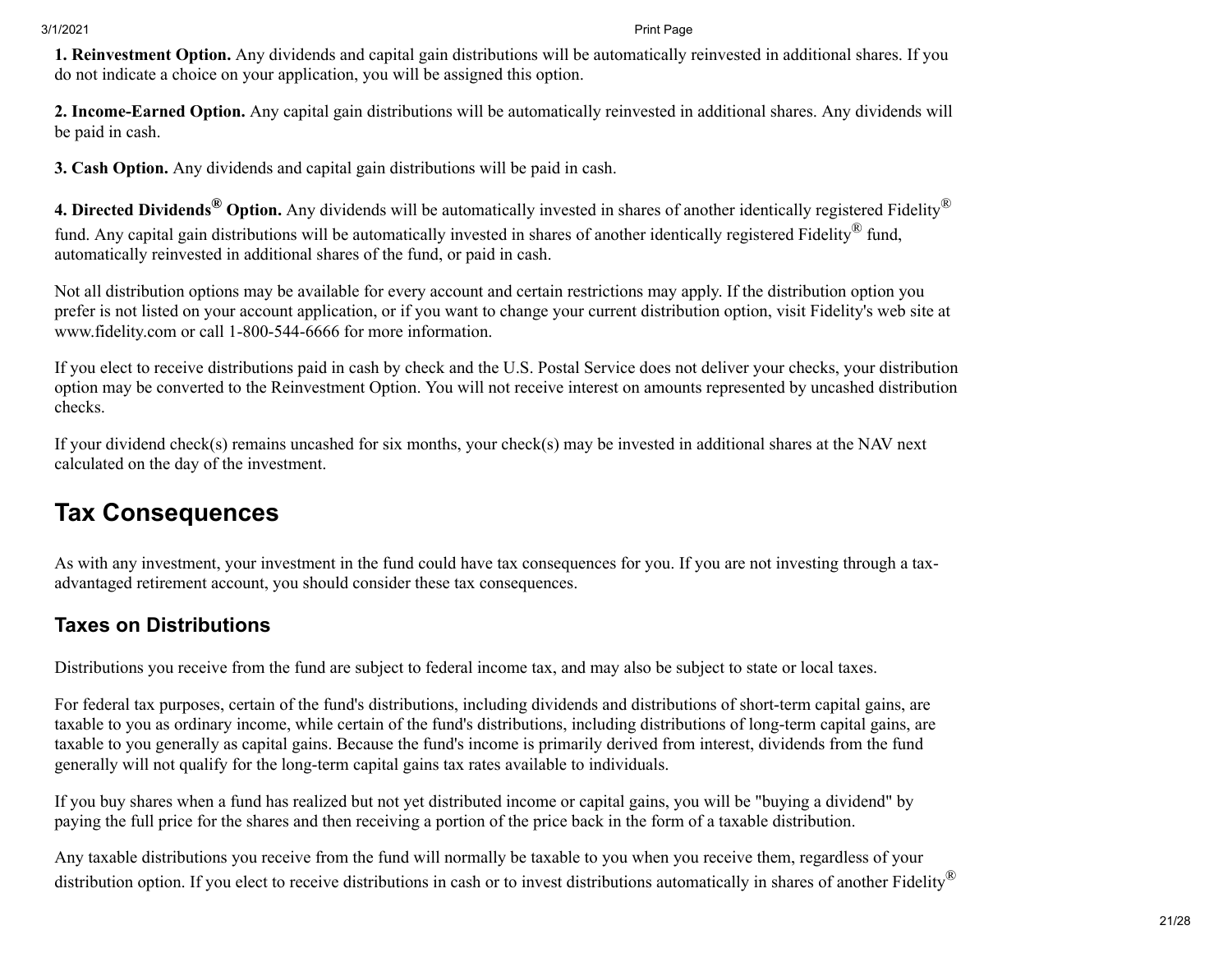**1. Reinvestment Option.** Any dividends and capital gain distributions will be automatically reinvested in additional shares. If you do not indicate a choice on your application, you will be assigned this option.

**2. Income-Earned Option.** Any capital gain distributions will be automatically reinvested in additional shares. Any dividends will be paid in cash.

**3. Cash Option.** Any dividends and capital gain distributions will be paid in cash.

**4. Directed Dividends® Option.** Any dividends will be automatically invested in shares of another identically registered Fidelity® fund. Any capital gain distributions will be automatically invested in shares of another identically registered Fidelity® fund, automatically reinvested in additional shares of the fund, or paid in cash.

Not all distribution options may be available for every account and certain restrictions may apply. If the distribution option you prefer is not listed on your account application, or if you want to change your current distribution option, visit Fidelity's web site at www.fidelity.com or call 1-800-544-6666 for more information.

If you elect to receive distributions paid in cash by check and the U.S. Postal Service does not deliver your checks, your distribution option may be converted to the Reinvestment Option. You will not receive interest on amounts represented by uncashed distribution checks.

If your dividend check(s) remains uncashed for six months, your check(s) may be invested in additional shares at the NAV next calculated on the day of the investment.

# <span id="page-20-0"></span>**Tax Consequences**

As with any investment, your investment in the fund could have tax consequences for you. If you are not investing through a taxadvantaged retirement account, you should consider these tax consequences.

### **Taxes on Distributions**

Distributions you receive from the fund are subject to federal income tax, and may also be subject to state or local taxes.

For federal tax purposes, certain of the fund's distributions, including dividends and distributions of short-term capital gains, are taxable to you as ordinary income, while certain of the fund's distributions, including distributions of long-term capital gains, are taxable to you generally as capital gains. Because the fund's income is primarily derived from interest, dividends from the fund generally will not qualify for the long-term capital gains tax rates available to individuals.

If you buy shares when a fund has realized but not yet distributed income or capital gains, you will be "buying a dividend" by paying the full price for the shares and then receiving a portion of the price back in the form of a taxable distribution.

Any taxable distributions you receive from the fund will normally be taxable to you when you receive them, regardless of your distribution option. If you elect to receive distributions in cash or to invest distributions automatically in shares of another Fidelity®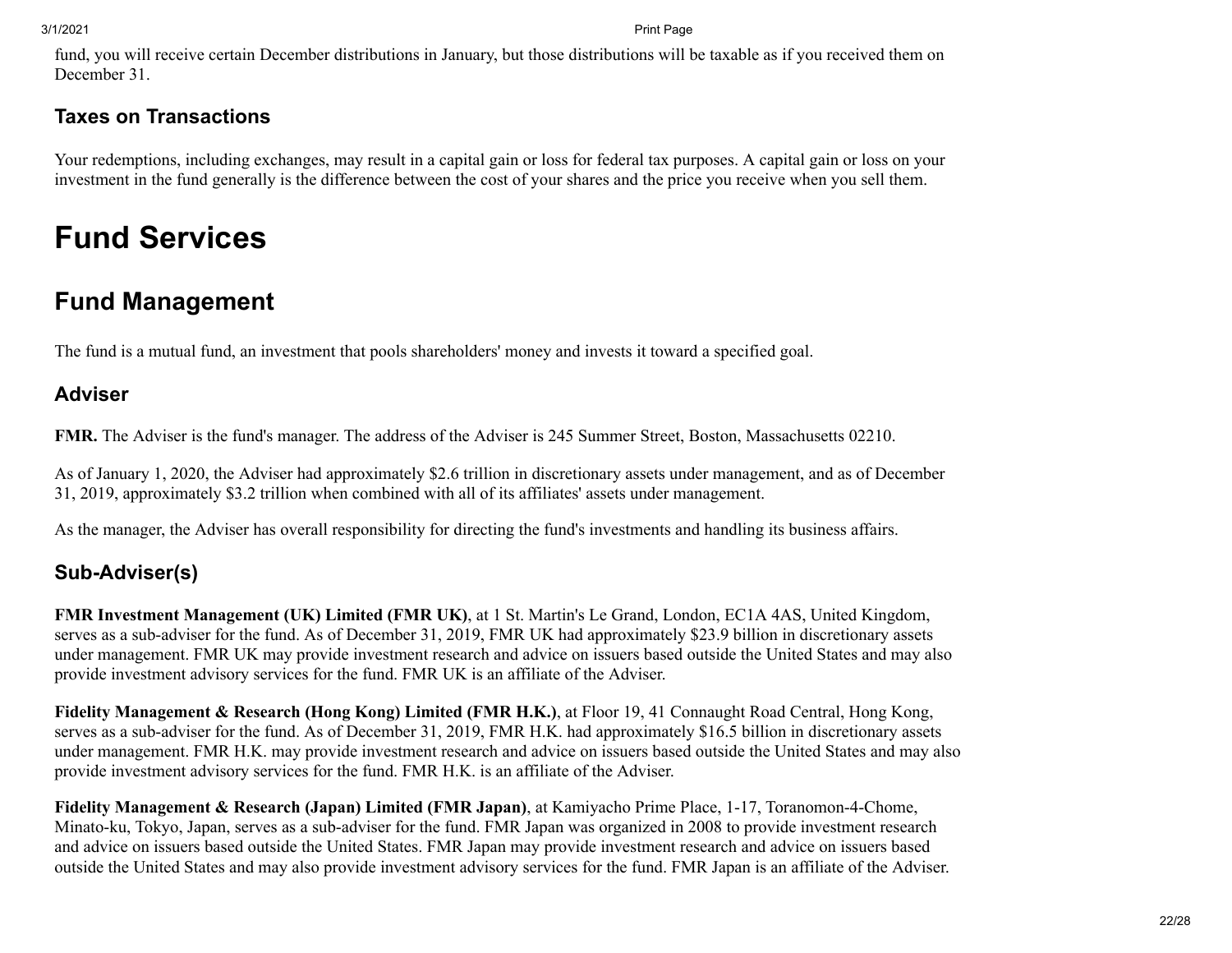fund, you will receive certain December distributions in January, but those distributions will be taxable as if you received them on December 31.

### **Taxes on Transactions**

Your redemptions, including exchanges, may result in a capital gain or loss for federal tax purposes. A capital gain or loss on your investment in the fund generally is the difference between the cost of your shares and the price you receive when you sell them.

# **Fund Services**

# <span id="page-21-0"></span>**Fund Management**

The fund is a mutual fund, an investment that pools shareholders' money and invests it toward a specified goal.

### **Adviser**

**FMR.** The Adviser is the fund's manager. The address of the Adviser is 245 Summer Street, Boston, Massachusetts 02210.

As of January 1, 2020, the Adviser had approximately \$2.6 trillion in discretionary assets under management, and as of December 31, 2019, approximately \$3.2 trillion when combined with all of its affiliates' assets under management.

As the manager, the Adviser has overall responsibility for directing the fund's investments and handling its business affairs.

### **Sub-Adviser(s)**

**FMR Investment Management (UK) Limited (FMR UK)**, at 1 St. Martin's Le Grand, London, EC1A 4AS, United Kingdom, serves as a sub-adviser for the fund. As of December 31, 2019, FMR UK had approximately \$23.9 billion in discretionary assets under management. FMR UK may provide investment research and advice on issuers based outside the United States and may also provide investment advisory services for the fund. FMR UK is an affiliate of the Adviser.

**Fidelity Management & Research (Hong Kong) Limited (FMR H.K.)**, at Floor 19, 41 Connaught Road Central, Hong Kong, serves as a sub-adviser for the fund. As of December 31, 2019, FMR H.K. had approximately \$16.5 billion in discretionary assets under management. FMR H.K. may provide investment research and advice on issuers based outside the United States and may also provide investment advisory services for the fund. FMR H.K. is an affiliate of the Adviser.

**Fidelity Management & Research (Japan) Limited (FMR Japan)**, at Kamiyacho Prime Place, 1-17, Toranomon-4-Chome, Minato-ku, Tokyo, Japan, serves as a sub-adviser for the fund. FMR Japan was organized in 2008 to provide investment research and advice on issuers based outside the United States. FMR Japan may provide investment research and advice on issuers based outside the United States and may also provide investment advisory services for the fund. FMR Japan is an affiliate of the Adviser.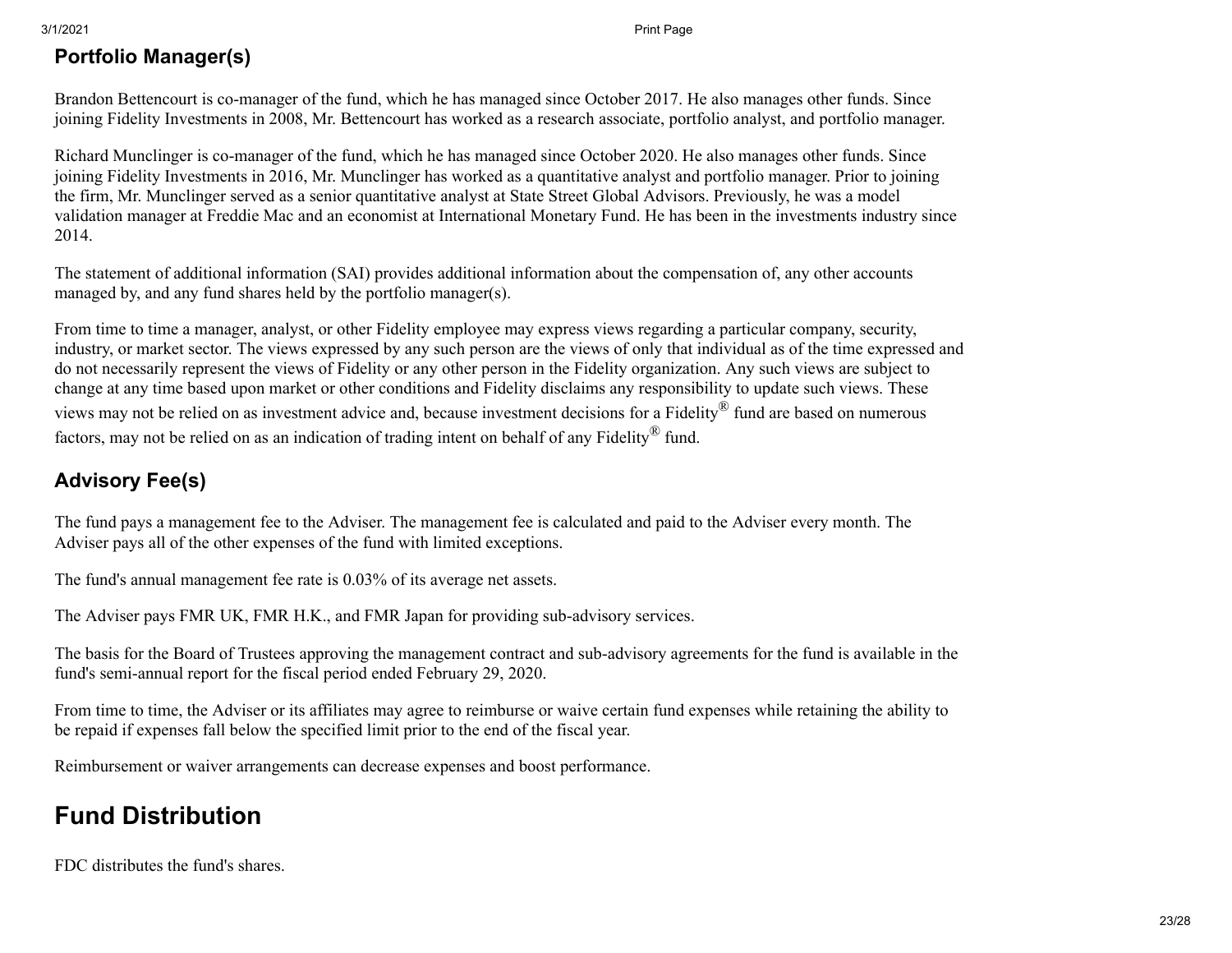### **Portfolio Manager(s)**

Brandon Bettencourt is co-manager of the fund, which he has managed since October 2017. He also manages other funds. Since joining Fidelity Investments in 2008, Mr. Bettencourt has worked as a research associate, portfolio analyst, and portfolio manager.

Richard Munclinger is co-manager of the fund, which he has managed since October 2020. He also manages other funds. Since joining Fidelity Investments in 2016, Mr. Munclinger has worked as a quantitative analyst and portfolio manager. Prior to joining the firm, Mr. Munclinger served as a senior quantitative analyst at State Street Global Advisors. Previously, he was a model validation manager at Freddie Mac and an economist at International Monetary Fund. He has been in the investments industry since 2014.

The statement of additional information (SAI) provides additional information about the compensation of, any other accounts managed by, and any fund shares held by the portfolio manager(s).

From time to time a manager, analyst, or other Fidelity employee may express views regarding a particular company, security, industry, or market sector. The views expressed by any such person are the views of only that individual as of the time expressed and do not necessarily represent the views of Fidelity or any other person in the Fidelity organization. Any such views are subject to change at any time based upon market or other conditions and Fidelity disclaims any responsibility to update such views. These views may not be relied on as investment advice and, because investment decisions for a Fidelity® fund are based on numerous factors, may not be relied on as an indication of trading intent on behalf of any Fidelity® fund.

# **Advisory Fee(s)**

The fund pays a management fee to the Adviser. The management fee is calculated and paid to the Adviser every month. The Adviser pays all of the other expenses of the fund with limited exceptions.

The fund's annual management fee rate is 0.03% of its average net assets.

The Adviser pays FMR UK, FMR H.K., and FMR Japan for providing sub-advisory services.

The basis for the Board of Trustees approving the management contract and sub-advisory agreements for the fund is available in the fund's semi-annual report for the fiscal period ended February 29, 2020.

From time to time, the Adviser or its affiliates may agree to reimburse or waive certain fund expenses while retaining the ability to be repaid if expenses fall below the specified limit prior to the end of the fiscal year.

Reimbursement or waiver arrangements can decrease expenses and boost performance.

# <span id="page-22-0"></span>**Fund Distribution**

FDC distributes the fund's shares.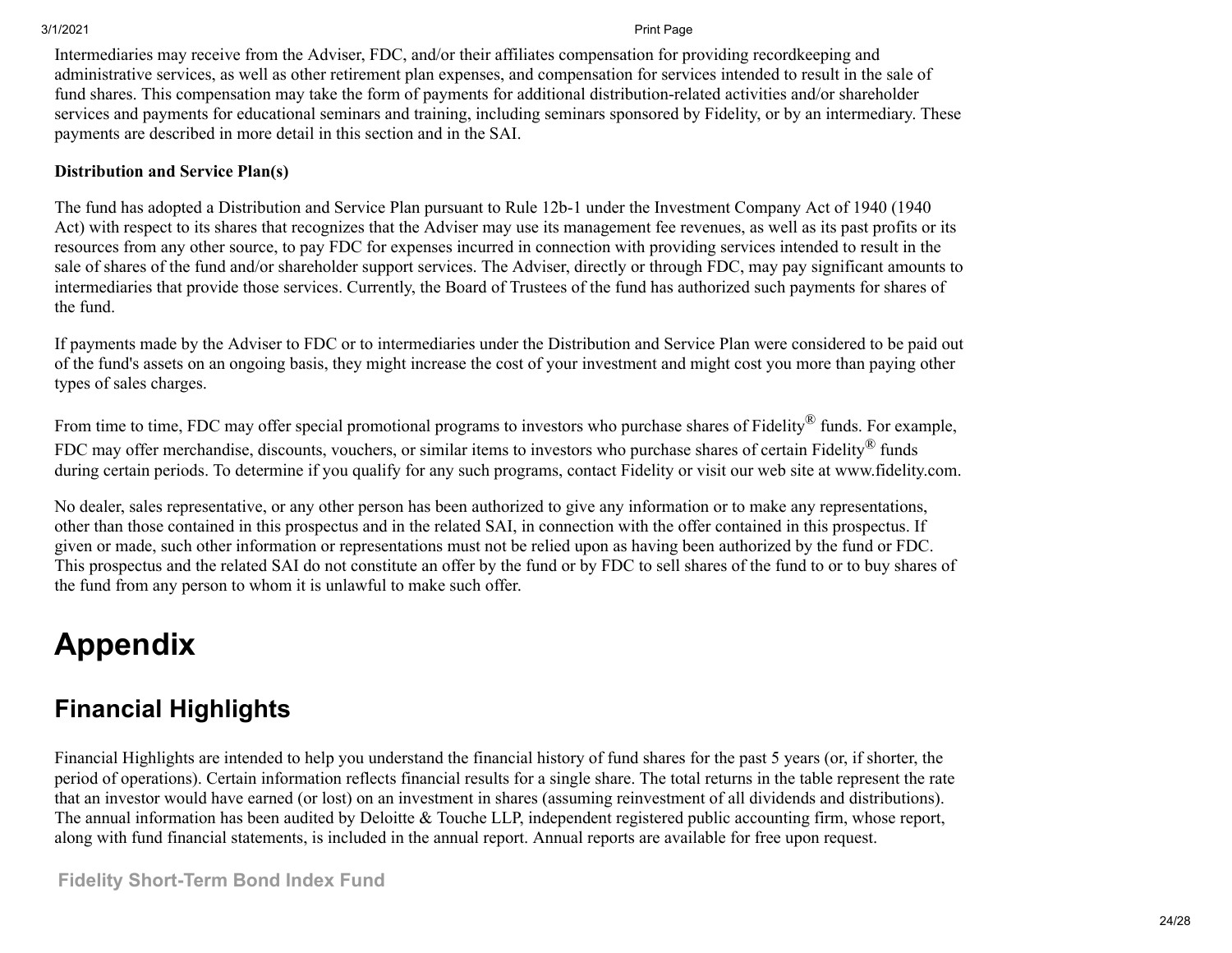Intermediaries may receive from the Adviser, FDC, and/or their affiliates compensation for providing recordkeeping and administrative services, as well as other retirement plan expenses, and compensation for services intended to result in the sale of fund shares. This compensation may take the form of payments for additional distribution-related activities and/or shareholder services and payments for educational seminars and training, including seminars sponsored by Fidelity, or by an intermediary. These payments are described in more detail in this section and in the SAI.

#### **Distribution and Service Plan(s)**

The fund has adopted a Distribution and Service Plan pursuant to Rule 12b-1 under the Investment Company Act of 1940 (1940 Act) with respect to its shares that recognizes that the Adviser may use its management fee revenues, as well as its past profits or its resources from any other source, to pay FDC for expenses incurred in connection with providing services intended to result in the sale of shares of the fund and/or shareholder support services. The Adviser, directly or through FDC, may pay significant amounts to intermediaries that provide those services. Currently, the Board of Trustees of the fund has authorized such payments for shares of the fund.

If payments made by the Adviser to FDC or to intermediaries under the Distribution and Service Plan were considered to be paid out of the fund's assets on an ongoing basis, they might increase the cost of your investment and might cost you more than paying other types of sales charges.

From time to time, FDC may offer special promotional programs to investors who purchase shares of Fidelity® funds. For example, FDC may offer merchandise, discounts, vouchers, or similar items to investors who purchase shares of certain Fidelity® funds during certain periods. To determine if you qualify for any such programs, contact Fidelity or visit our web site at www.fidelity.com.

No dealer, sales representative, or any other person has been authorized to give any information or to make any representations, other than those contained in this prospectus and in the related SAI, in connection with the offer contained in this prospectus. If given or made, such other information or representations must not be relied upon as having been authorized by the fund or FDC. This prospectus and the related SAI do not constitute an offer by the fund or by FDC to sell shares of the fund to or to buy shares of the fund from any person to whom it is unlawful to make such offer.

# **Appendix**

# <span id="page-23-0"></span>**Financial Highlights**

Financial Highlights are intended to help you understand the financial history of fund shares for the past 5 years (or, if shorter, the period of operations). Certain information reflects financial results for a single share. The total returns in the table represent the rate that an investor would have earned (or lost) on an investment in shares (assuming reinvestment of all dividends and distributions). The annual information has been audited by Deloitte & Touche LLP, independent registered public accounting firm, whose report, along with fund financial statements, is included in the annual report. Annual reports are available for free upon request.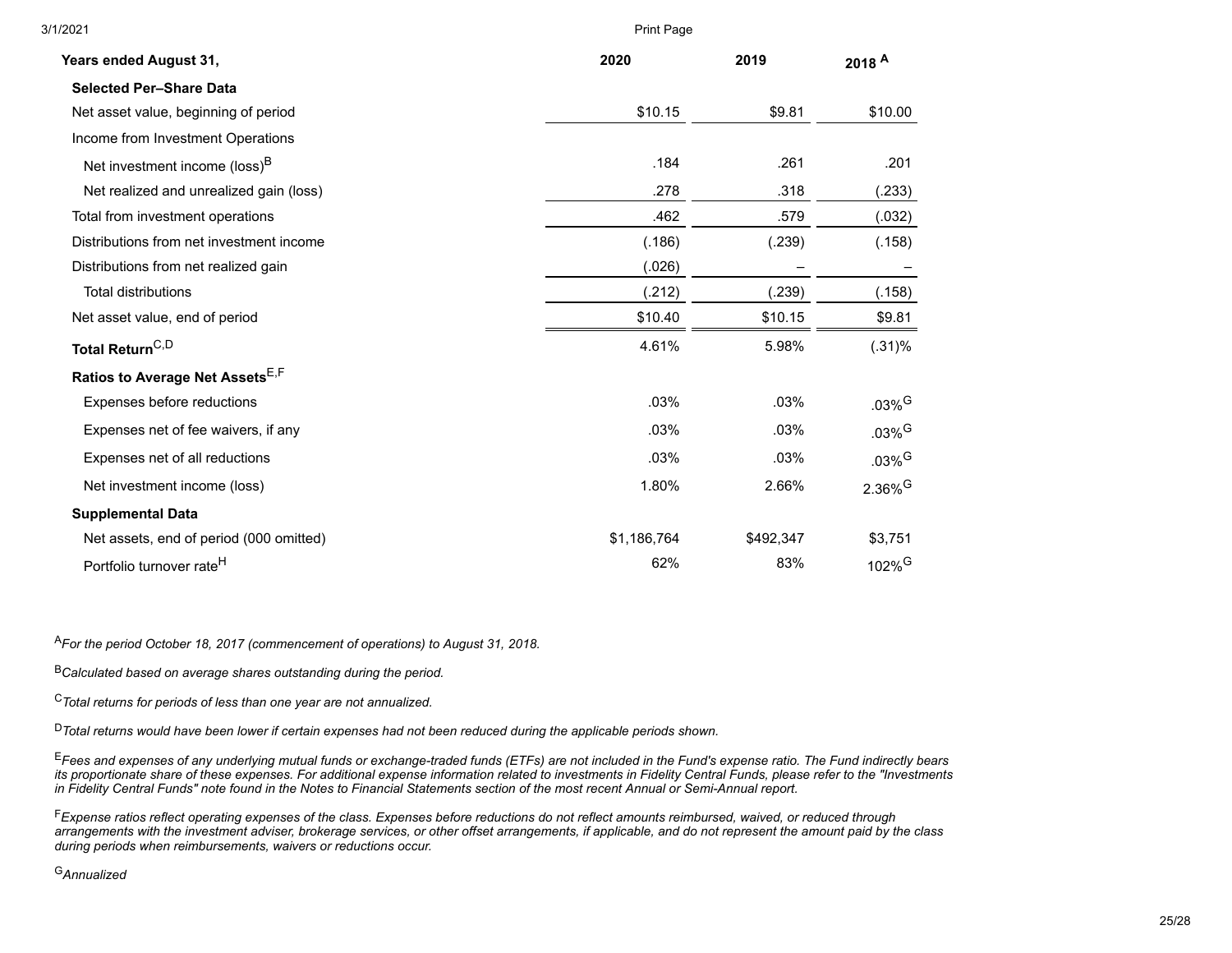| 3/1/2021                                  | Print Page  |           |                       |
|-------------------------------------------|-------------|-----------|-----------------------|
| Years ended August 31,                    | 2020        | 2019      | 2018 <sup>A</sup>     |
| <b>Selected Per-Share Data</b>            |             |           |                       |
| Net asset value, beginning of period      | \$10.15     | \$9.81    | \$10.00               |
| Income from Investment Operations         |             |           |                       |
| Net investment income (loss) <sup>B</sup> | .184        | .261      | .201                  |
| Net realized and unrealized gain (loss)   | .278        | .318      | (.233)                |
| Total from investment operations          | .462        | .579      | (.032)                |
| Distributions from net investment income  | (.186)      | (.239)    | (.158)                |
| Distributions from net realized gain      | (.026)      |           |                       |
| <b>Total distributions</b>                | (.212)      | (.239)    | (.158)                |
| Net asset value, end of period            | \$10.40     | \$10.15   | \$9.81                |
| Total Return <sup>C,D</sup>               | 4.61%       | 5.98%     | (.31)%                |
| Ratios to Average Net Assets E,F          |             |           |                       |
| Expenses before reductions                | .03%        | .03%      | $.03\%$ <sup>G</sup>  |
| Expenses net of fee waivers, if any       | .03%        | .03%      | $.03\%$ <sup>G</sup>  |
| Expenses net of all reductions            | .03%        | .03%      | $.03\%$ <sup>G</sup>  |
| Net investment income (loss)              | 1.80%       | 2.66%     | $2.36\%$ <sup>G</sup> |
| <b>Supplemental Data</b>                  |             |           |                       |
| Net assets, end of period (000 omitted)   | \$1,186,764 | \$492,347 | \$3,751               |
| Portfolio turnover rate <sup>H</sup>      | 62%         | 83%       | $102\%$ <sup>G</sup>  |

<sup>A</sup>*For the period October 18, 2017 (commencement of operations) to August 31, 2018.*

<sup>B</sup>*Calculated based on average shares outstanding during the period.*

<sup>C</sup>*Total returns for periods of less than one year are not annualized.*

<sup>D</sup>*Total returns would have been lower if certain expenses had not been reduced during the applicable periods shown.*

<sup>E</sup>*Fees and expenses of any underlying mutual funds or exchange-traded funds (ETFs) are not included in the Fund's expense ratio. The Fund indirectly bears its proportionate share of these expenses. For additional expense information related to investments in Fidelity Central Funds, please refer to the "Investments in Fidelity Central Funds" note found in the Notes to Financial Statements section of the most recent Annual or Semi-Annual report.*

<sup>F</sup>*Expense ratios reflect operating expenses of the class. Expenses before reductions do not reflect amounts reimbursed, waived, or reduced through arrangements with the investment adviser, brokerage services, or other offset arrangements, if applicable, and do not represent the amount paid by the class during periods when reimbursements, waivers or reductions occur.*

<sup>G</sup>*Annualized*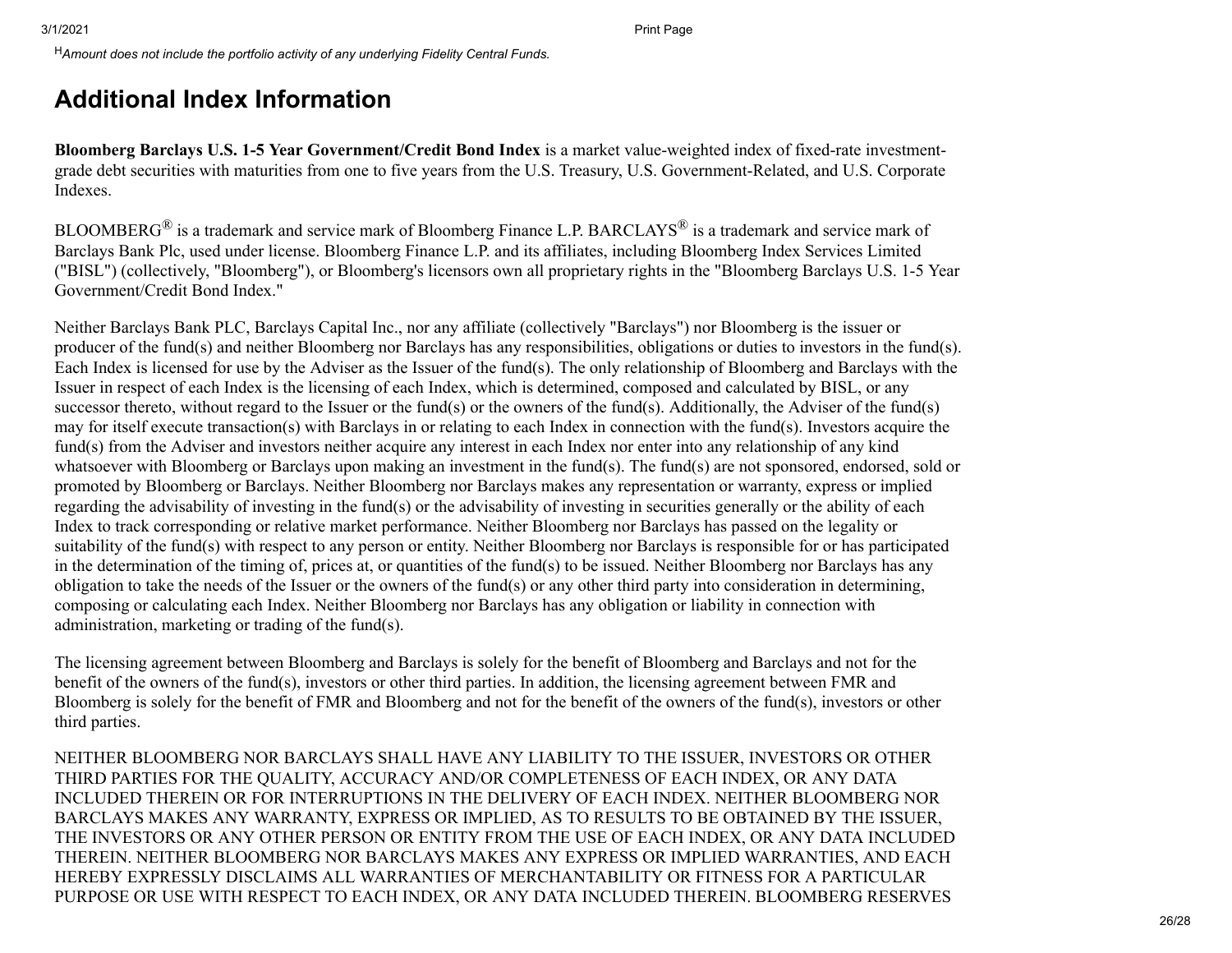<sup>H</sup>*Amount does not include the portfolio activity of any underlying Fidelity Central Funds.*

### <span id="page-25-0"></span>**Additional Index Information**

**Bloomberg Barclays U.S. 1-5 Year Government/Credit Bond Index** is a market value-weighted index of fixed-rate investmentgrade debt securities with maturities from one to five years from the U.S. Treasury, U.S. Government-Related, and U.S. Corporate Indexes.

BLOOMBERG<sup>®</sup> is a trademark and service mark of Bloomberg Finance L.P. BARCLAYS® is a trademark and service mark of Barclays Bank Plc, used under license. Bloomberg Finance L.P. and its affiliates, including Bloomberg Index Services Limited ("BISL") (collectively, "Bloomberg"), or Bloomberg's licensors own all proprietary rights in the "Bloomberg Barclays U.S. 1-5 Year Government/Credit Bond Index."

Neither Barclays Bank PLC, Barclays Capital Inc., nor any affiliate (collectively "Barclays") nor Bloomberg is the issuer or producer of the fund(s) and neither Bloomberg nor Barclays has any responsibilities, obligations or duties to investors in the fund(s). Each Index is licensed for use by the Adviser as the Issuer of the fund(s). The only relationship of Bloomberg and Barclays with the Issuer in respect of each Index is the licensing of each Index, which is determined, composed and calculated by BISL, or any successor thereto, without regard to the Issuer or the fund(s) or the owners of the fund(s). Additionally, the Adviser of the fund(s) may for itself execute transaction(s) with Barclays in or relating to each Index in connection with the fund(s). Investors acquire the fund(s) from the Adviser and investors neither acquire any interest in each Index nor enter into any relationship of any kind whatsoever with Bloomberg or Barclays upon making an investment in the fund(s). The fund(s) are not sponsored, endorsed, sold or promoted by Bloomberg or Barclays. Neither Bloomberg nor Barclays makes any representation or warranty, express or implied regarding the advisability of investing in the fund(s) or the advisability of investing in securities generally or the ability of each Index to track corresponding or relative market performance. Neither Bloomberg nor Barclays has passed on the legality or suitability of the fund(s) with respect to any person or entity. Neither Bloomberg nor Barclays is responsible for or has participated in the determination of the timing of, prices at, or quantities of the fund(s) to be issued. Neither Bloomberg nor Barclays has any obligation to take the needs of the Issuer or the owners of the fund(s) or any other third party into consideration in determining, composing or calculating each Index. Neither Bloomberg nor Barclays has any obligation or liability in connection with administration, marketing or trading of the fund(s).

The licensing agreement between Bloomberg and Barclays is solely for the benefit of Bloomberg and Barclays and not for the benefit of the owners of the fund(s), investors or other third parties. In addition, the licensing agreement between FMR and Bloomberg is solely for the benefit of FMR and Bloomberg and not for the benefit of the owners of the fund(s), investors or other third parties.

NEITHER BLOOMBERG NOR BARCLAYS SHALL HAVE ANY LIABILITY TO THE ISSUER, INVESTORS OR OTHER THIRD PARTIES FOR THE QUALITY, ACCURACY AND/OR COMPLETENESS OF EACH INDEX, OR ANY DATA INCLUDED THEREIN OR FOR INTERRUPTIONS IN THE DELIVERY OF EACH INDEX. NEITHER BLOOMBERG NOR BARCLAYS MAKES ANY WARRANTY, EXPRESS OR IMPLIED, AS TO RESULTS TO BE OBTAINED BY THE ISSUER, THE INVESTORS OR ANY OTHER PERSON OR ENTITY FROM THE USE OF EACH INDEX, OR ANY DATA INCLUDED THEREIN. NEITHER BLOOMBERG NOR BARCLAYS MAKES ANY EXPRESS OR IMPLIED WARRANTIES, AND EACH HEREBY EXPRESSLY DISCLAIMS ALL WARRANTIES OF MERCHANTABILITY OR FITNESS FOR A PARTICULAR PURPOSE OR USE WITH RESPECT TO EACH INDEX, OR ANY DATA INCLUDED THEREIN. BLOOMBERG RESERVES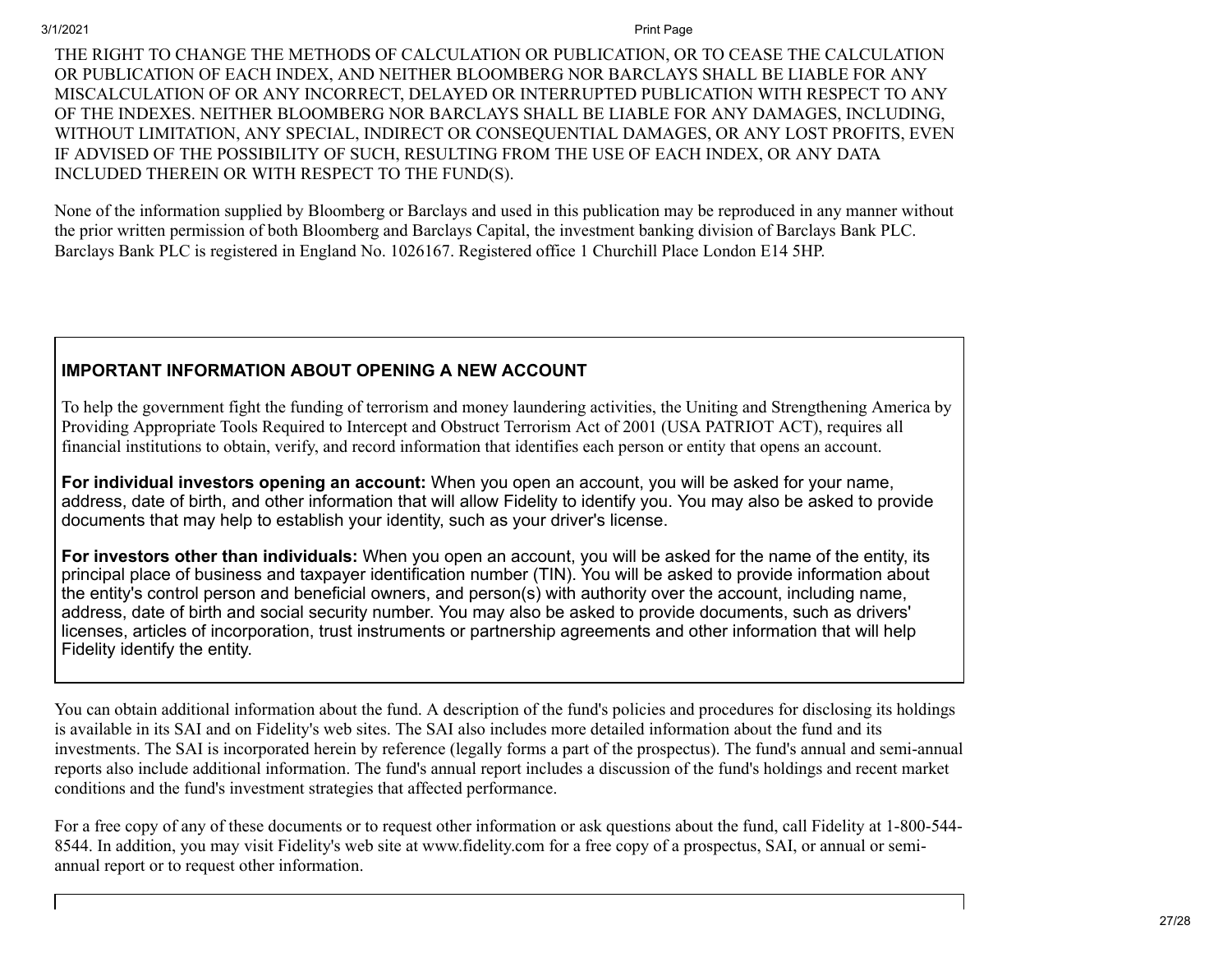THE RIGHT TO CHANGE THE METHODS OF CALCULATION OR PUBLICATION, OR TO CEASE THE CALCULATION OR PUBLICATION OF EACH INDEX, AND NEITHER BLOOMBERG NOR BARCLAYS SHALL BE LIABLE FOR ANY MISCALCULATION OF OR ANY INCORRECT, DELAYED OR INTERRUPTED PUBLICATION WITH RESPECT TO ANY OF THE INDEXES. NEITHER BLOOMBERG NOR BARCLAYS SHALL BE LIABLE FOR ANY DAMAGES, INCLUDING, WITHOUT LIMITATION, ANY SPECIAL, INDIRECT OR CONSEQUENTIAL DAMAGES, OR ANY LOST PROFITS, EVEN IF ADVISED OF THE POSSIBILITY OF SUCH, RESULTING FROM THE USE OF EACH INDEX, OR ANY DATA INCLUDED THEREIN OR WITH RESPECT TO THE FUND(S).

None of the information supplied by Bloomberg or Barclays and used in this publication may be reproduced in any manner without the prior written permission of both Bloomberg and Barclays Capital, the investment banking division of Barclays Bank PLC. Barclays Bank PLC is registered in England No. 1026167. Registered office 1 Churchill Place London E14 5HP.

### **IMPORTANT INFORMATION ABOUT OPENING A NEW ACCOUNT**

To help the government fight the funding of terrorism and money laundering activities, the Uniting and Strengthening America by Providing Appropriate Tools Required to Intercept and Obstruct Terrorism Act of 2001 (USA PATRIOT ACT), requires all financial institutions to obtain, verify, and record information that identifies each person or entity that opens an account.

**For individual investors opening an account:** When you open an account, you will be asked for your name, address, date of birth, and other information that will allow Fidelity to identify you. You may also be asked to provide documents that may help to establish your identity, such as your driver's license.

**For investors other than individuals:** When you open an account, you will be asked for the name of the entity, its principal place of business and taxpayer identification number (TIN). You will be asked to provide information about the entity's control person and beneficial owners, and person(s) with authority over the account, including name, address, date of birth and social security number. You may also be asked to provide documents, such as drivers' licenses, articles of incorporation, trust instruments or partnership agreements and other information that will help Fidelity identify the entity.

You can obtain additional information about the fund. A description of the fund's policies and procedures for disclosing its holdings is available in its SAI and on Fidelity's web sites. The SAI also includes more detailed information about the fund and its investments. The SAI is incorporated herein by reference (legally forms a part of the prospectus). The fund's annual and semi-annual reports also include additional information. The fund's annual report includes a discussion of the fund's holdings and recent market conditions and the fund's investment strategies that affected performance.

For a free copy of any of these documents or to request other information or ask questions about the fund, call Fidelity at 1-800-544- 8544. In addition, you may visit Fidelity's web site at www.fidelity.com for a free copy of a prospectus, SAI, or annual or semiannual report or to request other information.